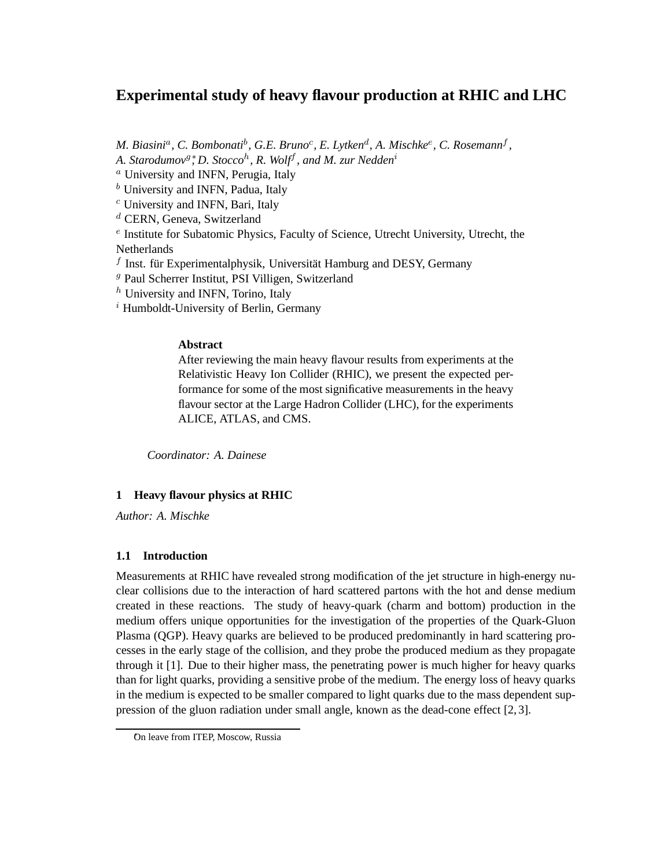## **Experimental study of heavy flavour production at RHIC and LHC**

*M. Biasini<sup>a</sup>, C. Bombonati<sup>b</sup>, G.E. Bruno<sup>c</sup>, E. Lytken<sup>d</sup>, A. Mischke<sup>e</sup>, C. Rosemann<sup>f</sup>,* 

*A. Starodumov*<sup>g</sup> <sup>∗</sup> *, D. Stocco*<sup>h</sup> *, R. Wolf*<sup>f</sup> *, and M. zur Nedden*<sup>i</sup>

<sup>a</sup> University and INFN, Perugia, Italy

 $<sup>b</sup>$  University and INFN, Padua, Italy</sup>

<sup>c</sup> University and INFN, Bari, Italy

<sup>d</sup> CERN, Geneva, Switzerland

e Institute for Subatomic Physics, Faculty of Science, Utrecht University, Utrecht, the Netherlands

 $f$  Inst. für Experimentalphysik, Universität Hamburg and DESY, Germany

<sup>g</sup> Paul Scherrer Institut, PSI Villigen, Switzerland

 $<sup>h</sup>$  University and INFN, Torino, Italy</sup>

 $i$  Humboldt-University of Berlin, Germany

## **Abstract**

After reviewing the main heavy flavour results from experiments at the Relativistic Heavy Ion Collider (RHIC), we present the expected performance for some of the most significative measurements in the heavy flavour sector at the Large Hadron Collider (LHC), for the experiments ALICE, ATLAS, and CMS.

*Coordinator: A. Dainese*

## **1 Heavy flavour physics at RHIC**

*Author: A. Mischke*

## **1.1 Introduction**

Measurements at RHIC have revealed strong modification of the jet structure in high-energy nuclear collisions due to the interaction of hard scattered partons with the hot and dense medium created in these reactions. The study of heavy-quark (charm and bottom) production in the medium offers unique opportunities for the investigation of the properties of the Quark-Gluon Plasma (QGP). Heavy quarks are believed to be produced predominantly in hard scattering processes in the early stage of the collision, and they probe the produced medium as they propagate through it [1]. Due to their higher mass, the penetrating power is much higher for heavy quarks than for light quarks, providing a sensitive probe of the medium. The energy loss of heavy quarks in the medium is expected to be smaller compared to light quarks due to the mass dependent suppression of the gluon radiation under small angle, known as the dead-cone effect [2, 3].

On leave from ITEP, Moscow, Russia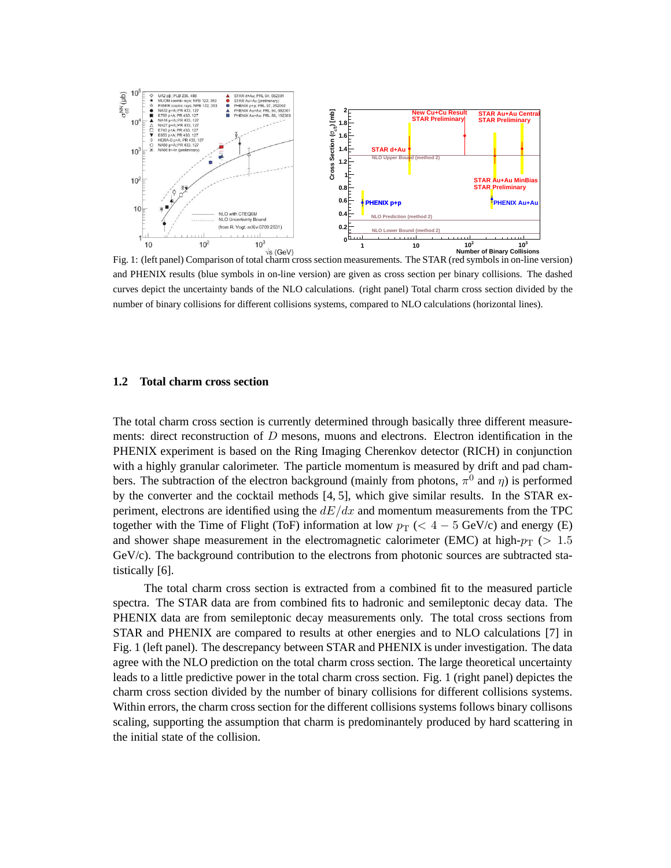

Fig. 1: (left panel) Comparison of total charm cross section measurements. The STAR (red symbols in on-line version) and PHENIX results (blue symbols in on-line version) are given as cross section per binary collisions. The dashed curves depict the uncertainty bands of the NLO calculations. (right panel) Total charm cross section divided by the number of binary collisions for different collisions systems, compared to NLO calculations (horizontal lines).

#### **1.2 Total charm cross section**

The total charm cross section is currently determined through basically three different measurements: direct reconstruction of D mesons, muons and electrons. Electron identification in the PHENIX experiment is based on the Ring Imaging Cherenkov detector (RICH) in conjunction with a highly granular calorimeter. The particle momentum is measured by drift and pad chambers. The subtraction of the electron background (mainly from photons,  $\pi^0$  and  $\eta$ ) is performed by the converter and the cocktail methods [4, 5], which give similar results. In the STAR experiment, electrons are identified using the  $dE/dx$  and momentum measurements from the TPC together with the Time of Flight (ToF) information at low  $p_T$  (<  $4-5$  GeV/c) and energy (E) and shower shape measurement in the electromagnetic calorimeter (EMC) at high- $p_T$  ( $> 1.5$  $GeV/c$ ). The background contribution to the electrons from photonic sources are subtracted statistically [6].

The total charm cross section is extracted from a combined fit to the measured particle spectra. The STAR data are from combined fits to hadronic and semileptonic decay data. The PHENIX data are from semileptonic decay measurements only. The total cross sections from STAR and PHENIX are compared to results at other energies and to NLO calculations [7] in Fig. 1 (left panel). The descrepancy between STAR and PHENIX is under investigation. The data agree with the NLO prediction on the total charm cross section. The large theoretical uncertainty leads to a little predictive power in the total charm cross section. Fig. 1 (right panel) depictes the charm cross section divided by the number of binary collisions for different collisions systems. Within errors, the charm cross section for the different collisions systems follows binary collisons scaling, supporting the assumption that charm is predominantely produced by hard scattering in the initial state of the collision.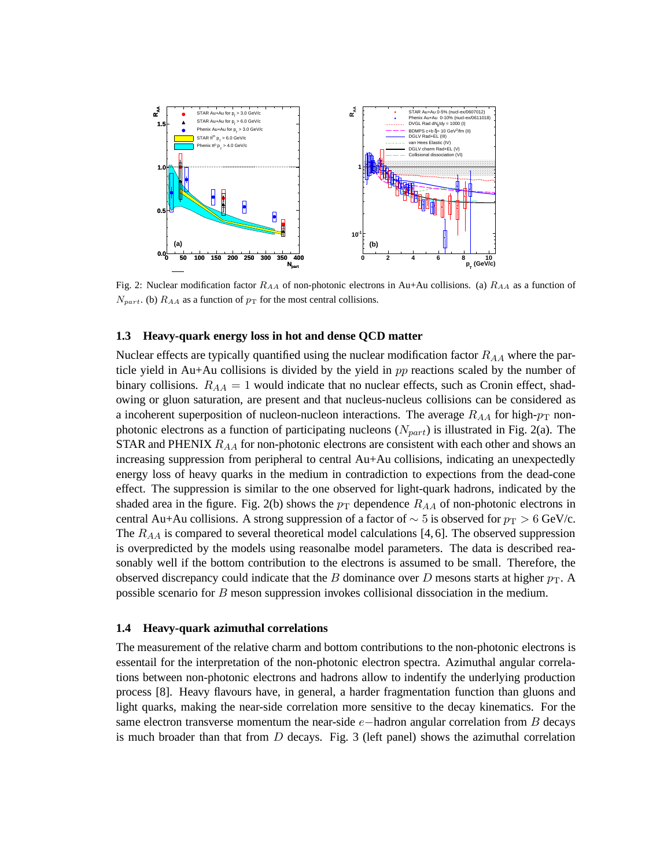

Fig. 2: Nuclear modification factor  $R_{AA}$  of non-photonic electrons in Au+Au collisions. (a)  $R_{AA}$  as a function of  $N_{part.}$  (b)  $R_{AA}$  as a function of  $p_T$  for the most central collisions.

#### **1.3 Heavy-quark energy loss in hot and dense QCD matter**

Nuclear effects are typically quantified using the nuclear modification factor  $R_{AA}$  where the particle yield in Au+Au collisions is divided by the yield in  $pp$  reactions scaled by the number of binary collisions.  $R_{AA} = 1$  would indicate that no nuclear effects, such as Cronin effect, shadowing or gluon saturation, are present and that nucleus-nucleus collisions can be considered as a incoherent superposition of nucleon-nucleon interactions. The average  $R_{AA}$  for high- $p_T$  nonphotonic electrons as a function of participating nucleons ( $N_{part}$ ) is illustrated in Fig. 2(a). The STAR and PHENIX  $R_{AA}$  for non-photonic electrons are consistent with each other and shows an increasing suppression from peripheral to central Au+Au collisions, indicating an unexpectedly energy loss of heavy quarks in the medium in contradiction to expections from the dead-cone effect. The suppression is similar to the one observed for light-quark hadrons, indicated by the shaded area in the figure. Fig. 2(b) shows the  $p_T$  dependence  $R_{AA}$  of non-photonic electrons in central Au+Au collisions. A strong suppression of a factor of  $\sim$  5 is observed for  $p_T > 6$  GeV/c. The  $R_{AA}$  is compared to several theoretical model calculations [4, 6]. The observed suppression is overpredicted by the models using reasonalbe model parameters. The data is described reasonably well if the bottom contribution to the electrons is assumed to be small. Therefore, the observed discrepancy could indicate that the B dominance over D mesons starts at higher  $p_T$ . A possible scenario for B meson suppression invokes collisional dissociation in the medium.

#### **1.4 Heavy-quark azimuthal correlations**

The measurement of the relative charm and bottom contributions to the non-photonic electrons is essentail for the interpretation of the non-photonic electron spectra. Azimuthal angular correlations between non-photonic electrons and hadrons allow to indentify the underlying production process [8]. Heavy flavours have, in general, a harder fragmentation function than gluons and light quarks, making the near-side correlation more sensitive to the decay kinematics. For the same electron transverse momentum the near-side  $e$ -hadron angular correlation from B decays is much broader than that from  $D$  decays. Fig. 3 (left panel) shows the azimuthal correlation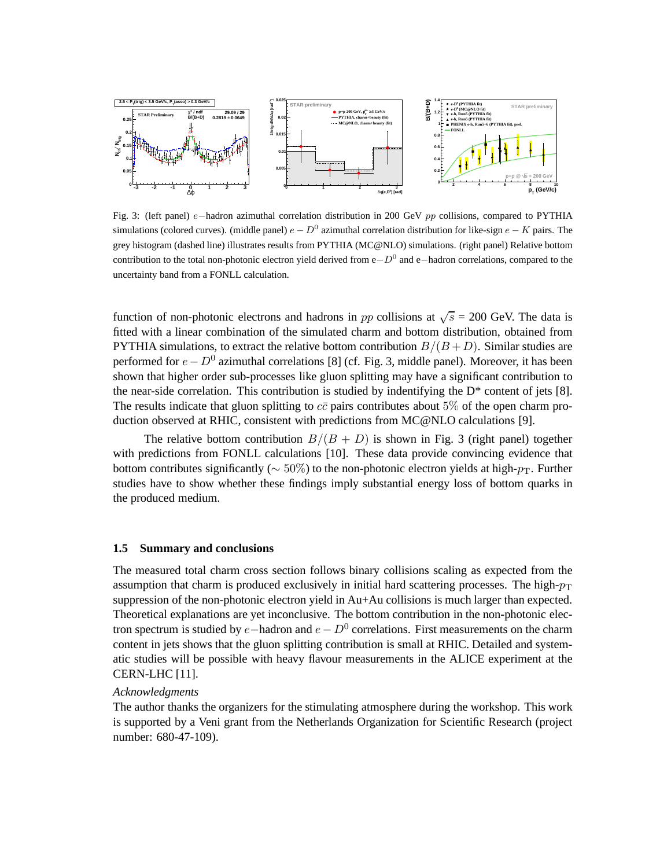

Fig. 3: (left panel) e−hadron azimuthal correlation distribution in 200 GeV pp collisions, compared to PYTHIA simulations (colored curves). (middle panel)  $e - D^0$  azimuthal correlation distribution for like-sign  $e - K$  pairs. The grey histogram (dashed line) illustrates results from PYTHIA (MC@NLO) simulations. (right panel) Relative bottom contribution to the total non-photonic electron yield derived from e $-D<sup>0</sup>$  and e−hadron correlations, compared to the uncertainty band from a FONLL calculation.

function of non-photonic electrons and hadrons in pp collisions at  $\sqrt{s} = 200$  GeV. The data is fitted with a linear combination of the simulated charm and bottom distribution, obtained from PYTHIA simulations, to extract the relative bottom contribution  $B/(B+D)$ . Similar studies are performed for  $e - D^0$  azimuthal correlations [8] (cf. Fig. 3, middle panel). Moreover, it has been shown that higher order sub-processes like gluon splitting may have a significant contribution to the near-side correlation. This contribution is studied by indentifying the  $D^*$  content of jets [8]. The results indicate that gluon splitting to  $c\bar{c}$  pairs contributes about 5% of the open charm production observed at RHIC, consistent with predictions from MC@NLO calculations [9].

The relative bottom contribution  $B/(B+D)$  is shown in Fig. 3 (right panel) together with predictions from FONLL calculations [10]. These data provide convincing evidence that bottom contributes significantly ( $\sim$  50%) to the non-photonic electron yields at high- $p_T$ . Further studies have to show whether these findings imply substantial energy loss of bottom quarks in the produced medium.

#### **1.5 Summary and conclusions**

The measured total charm cross section follows binary collisions scaling as expected from the assumption that charm is produced exclusively in initial hard scattering processes. The high- $p<sub>T</sub>$ suppression of the non-photonic electron yield in Au+Au collisions is much larger than expected. Theoretical explanations are yet inconclusive. The bottom contribution in the non-photonic electron spectrum is studied by  $e$ -hadron and  $e - D<sup>0</sup>$  correlations. First measurements on the charm content in jets shows that the gluon splitting contribution is small at RHIC. Detailed and systematic studies will be possible with heavy flavour measurements in the ALICE experiment at the CERN-LHC [11].

#### *Acknowledgments*

The author thanks the organizers for the stimulating atmosphere during the workshop. This work is supported by a Veni grant from the Netherlands Organization for Scientific Research (project number: 680-47-109).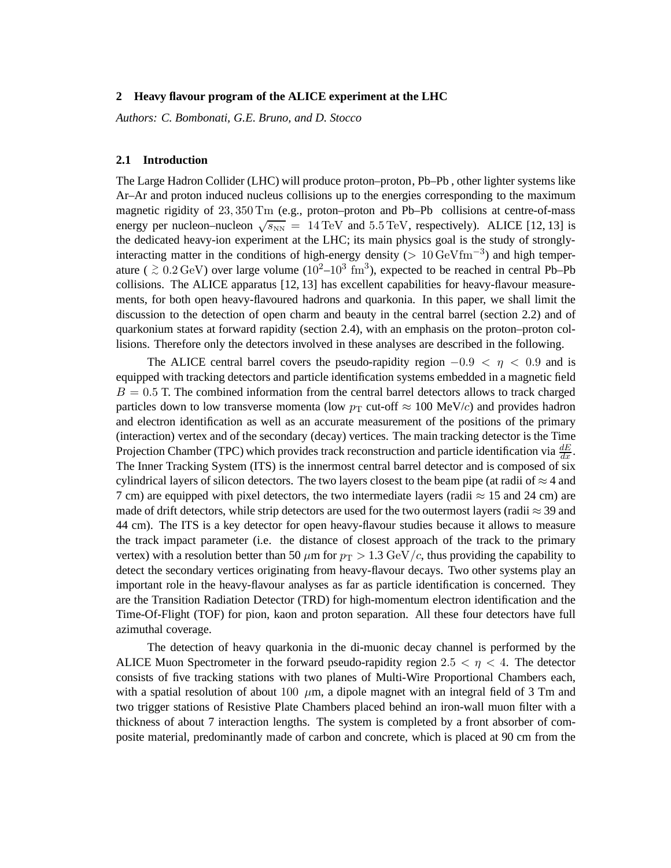#### **2 Heavy flavour program of the ALICE experiment at the LHC**

*Authors: C. Bombonati, G.E. Bruno, and D. Stocco*

#### **2.1 Introduction**

The Large Hadron Collider (LHC) will produce proton–proton, Pb–Pb , other lighter systems like Ar–Ar and proton induced nucleus collisions up to the energies corresponding to the maximum magnetic rigidity of 23, 350 Tm (e.g., proton–proton and Pb–Pb collisions at centre-of-mass energy per nucleon–nucleon  $\sqrt{s_{NN}}$  = 14 TeV and 5.5 TeV, respectively). ALICE [12, 13] is the dedicated heavy-ion experiment at the LHC; its main physics goal is the study of stronglyinteracting matter in the conditions of high-energy density (>  $10 \text{ GeV} \text{fm}^{-3}$ ) and high temperature (  $\gtrsim 0.2 \,\text{GeV}$ ) over large volume ( $10^{2}-10^{3} \text{ fm}^{3}$ ), expected to be reached in central Pb–Pb collisions. The ALICE apparatus [12, 13] has excellent capabilities for heavy-flavour measurements, for both open heavy-flavoured hadrons and quarkonia. In this paper, we shall limit the discussion to the detection of open charm and beauty in the central barrel (section 2.2) and of quarkonium states at forward rapidity (section 2.4), with an emphasis on the proton–proton collisions. Therefore only the detectors involved in these analyses are described in the following.

The ALICE central barrel covers the pseudo-rapidity region  $-0.9 < \eta < 0.9$  and is equipped with tracking detectors and particle identification systems embedded in a magnetic field  $B = 0.5$  T. The combined information from the central barrel detectors allows to track charged particles down to low transverse momenta (low  $p_T$  cut-off  $\approx 100 \text{ MeV}/c$ ) and provides hadron and electron identification as well as an accurate measurement of the positions of the primary (interaction) vertex and of the secondary (decay) vertices. The main tracking detector is the Time Projection Chamber (TPC) which provides track reconstruction and particle identification via  $\frac{dE}{dx}$ . The Inner Tracking System (ITS) is the innermost central barrel detector and is composed of six cylindrical layers of silicon detectors. The two layers closest to the beam pipe (at radii of  $\approx$  4 and 7 cm) are equipped with pixel detectors, the two intermediate layers (radii  $\approx$  15 and 24 cm) are made of drift detectors, while strip detectors are used for the two outermost layers (radii  $\approx$  39 and 44 cm). The ITS is a key detector for open heavy-flavour studies because it allows to measure the track impact parameter (i.e. the distance of closest approach of the track to the primary vertex) with a resolution better than 50  $\mu$ m for  $p_T > 1.3 \text{ GeV}/c$ , thus providing the capability to detect the secondary vertices originating from heavy-flavour decays. Two other systems play an important role in the heavy-flavour analyses as far as particle identification is concerned. They are the Transition Radiation Detector (TRD) for high-momentum electron identification and the Time-Of-Flight (TOF) for pion, kaon and proton separation. All these four detectors have full azimuthal coverage.

The detection of heavy quarkonia in the di-muonic decay channel is performed by the ALICE Muon Spectrometer in the forward pseudo-rapidity region 2.5  $\lt \eta \lt 4$ . The detector consists of five tracking stations with two planes of Multi-Wire Proportional Chambers each, with a spatial resolution of about 100  $\mu$ m, a dipole magnet with an integral field of 3 Tm and two trigger stations of Resistive Plate Chambers placed behind an iron-wall muon filter with a thickness of about 7 interaction lengths. The system is completed by a front absorber of composite material, predominantly made of carbon and concrete, which is placed at 90 cm from the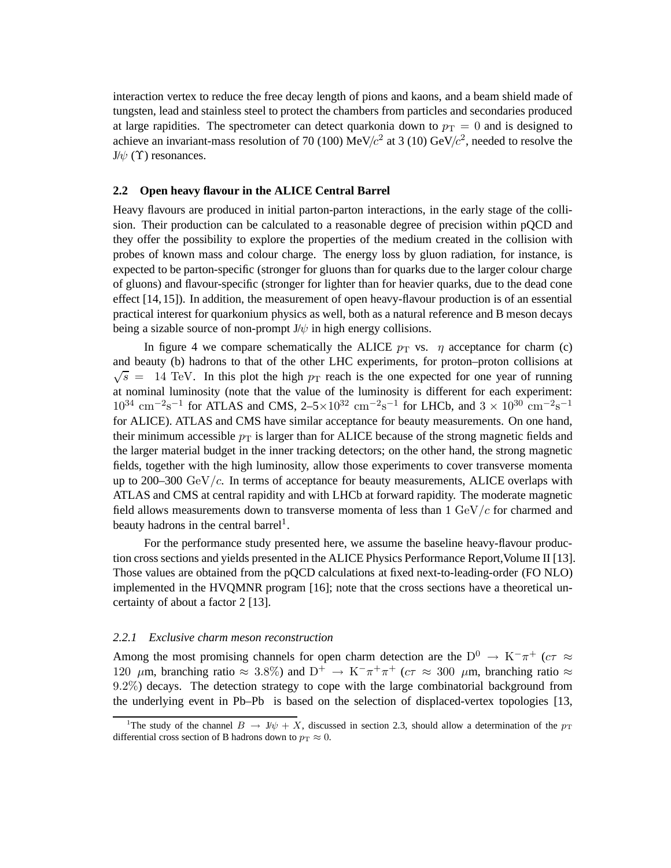interaction vertex to reduce the free decay length of pions and kaons, and a beam shield made of tungsten, lead and stainless steel to protect the chambers from particles and secondaries produced at large rapidities. The spectrometer can detect quarkonia down to  $p_T = 0$  and is designed to achieve an invariant-mass resolution of 70 (100) MeV/ $c^2$  at 3 (10) GeV/ $c^2$ , needed to resolve the  $J/\psi$  (Υ) resonances.

#### **2.2 Open heavy flavour in the ALICE Central Barrel**

Heavy flavours are produced in initial parton-parton interactions, in the early stage of the collision. Their production can be calculated to a reasonable degree of precision within pQCD and they offer the possibility to explore the properties of the medium created in the collision with probes of known mass and colour charge. The energy loss by gluon radiation, for instance, is expected to be parton-specific (stronger for gluons than for quarks due to the larger colour charge of gluons) and flavour-specific (stronger for lighter than for heavier quarks, due to the dead cone effect [14,15]). In addition, the measurement of open heavy-flavour production is of an essential practical interest for quarkonium physics as well, both as a natural reference and B meson decays being a sizable source of non-prompt  $J/\psi$  in high energy collisions.

In figure 4 we compare schematically the ALICE  $p_T$  vs.  $\eta$  acceptance for charm (c) and beauty (b) hadrons to that of the other LHC experiments, for proton–proton collisions at  $\sqrt{s}$  = 14 TeV. In this plot the high  $p_T$  reach is the one expected for one year of running at nominal luminosity (note that the value of the luminosity is different for each experiment:  $10^{34}$  cm<sup>-2</sup>s<sup>-1</sup> for ATLAS and CMS, 2-5×10<sup>32</sup> cm<sup>-2</sup>s<sup>-1</sup> for LHCb, and 3 × 10<sup>30</sup> cm<sup>-2</sup>s<sup>-1</sup> for ALICE). ATLAS and CMS have similar acceptance for beauty measurements. On one hand, their minimum accessible  $p_T$  is larger than for ALICE because of the strong magnetic fields and the larger material budget in the inner tracking detectors; on the other hand, the strong magnetic fields, together with the high luminosity, allow those experiments to cover transverse momenta up to 200–300 GeV/ $c$ . In terms of acceptance for beauty measurements, ALICE overlaps with ATLAS and CMS at central rapidity and with LHCb at forward rapidity. The moderate magnetic field allows measurements down to transverse momenta of less than  $1 \text{ GeV}/c$  for charmed and beauty hadrons in the central barrel<sup>1</sup>.

For the performance study presented here, we assume the baseline heavy-flavour production cross sections and yields presented in the ALICE Physics Performance Report,Volume II [13]. Those values are obtained from the pQCD calculations at fixed next-to-leading-order (FO NLO) implemented in the HVQMNR program [16]; note that the cross sections have a theoretical uncertainty of about a factor 2 [13].

#### *2.2.1 Exclusive charm meson reconstruction*

Among the most promising channels for open charm detection are the  $D^0 \rightarrow K^-\pi^+$  ( $c\tau \approx$ 120  $\mu$ m, branching ratio  $\approx 3.8\%$ ) and D<sup>+</sup>  $\rightarrow$  K<sup>-</sup> $\pi^{+}\pi^{+}$  ( $c\tau \approx 300 \mu$ m, branching ratio  $\approx$ 9.2%) decays. The detection strategy to cope with the large combinatorial background from the underlying event in Pb–Pb is based on the selection of displaced-vertex topologies [13,

<sup>&</sup>lt;sup>1</sup>The study of the channel  $B \to J/\psi + X$ , discussed in section 2.3, should allow a determination of the  $p_T$ differential cross section of B hadrons down to  $p_T \approx 0$ .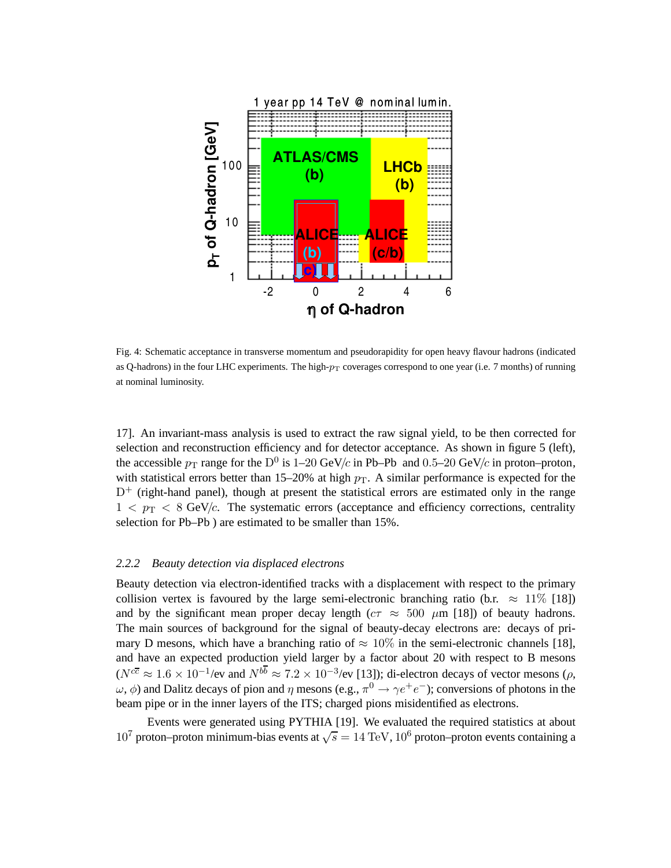

Fig. 4: Schematic acceptance in transverse momentum and pseudorapidity for open heavy flavour hadrons (indicated as Q-hadrons) in the four LHC experiments. The high- $p_T$  coverages correspond to one year (i.e. 7 months) of running at nominal luminosity.

17]. An invariant-mass analysis is used to extract the raw signal yield, to be then corrected for selection and reconstruction efficiency and for detector acceptance. As shown in figure 5 (left), the accessible  $p_T$  range for the D<sup>0</sup> is 1–20 GeV/c in Pb–Pb and 0.5–20 GeV/c in proton–proton, with statistical errors better than 15–20% at high  $p<sub>T</sub>$ . A similar performance is expected for the  $D^+$  (right-hand panel), though at present the statistical errors are estimated only in the range  $1 < p_T < 8$  GeV/c. The systematic errors (acceptance and efficiency corrections, centrality selection for Pb–Pb ) are estimated to be smaller than 15%.

#### *2.2.2 Beauty detection via displaced electrons*

Beauty detection via electron-identified tracks with a displacement with respect to the primary collision vertex is favoured by the large semi-electronic branching ratio (b.r.  $\approx 11\%$  [18]) and by the significant mean proper decay length ( $c\tau \approx 500 \mu m$  [18]) of beauty hadrons. The main sources of background for the signal of beauty-decay electrons are: decays of primary D mesons, which have a branching ratio of  $\approx 10\%$  in the semi-electronic channels [18], and have an expected production yield larger by a factor about 20 with respect to B mesons  $(N^{c\overline{c}} \approx 1.6 \times 10^{-1}$ /ev and  $N^{b\overline{b}} \approx 7.2 \times 10^{-3}$ /ev [13]); di-electron decays of vector mesons ( $\rho$ ,  $(\omega, \phi)$  and Dalitz decays of pion and  $\eta$  mesons (e.g.,  $\pi^0 \to \gamma e^+e^-$ ); conversions of photons in the beam pipe or in the inner layers of the ITS; charged pions misidentified as electrons.

Events were generated using PYTHIA [19]. We evaluated the required statistics at about 10<sup>7</sup> proton–proton minimum-bias events at  $\sqrt{s} = 14 \text{ TeV}$ , 10<sup>6</sup> proton–proton events containing a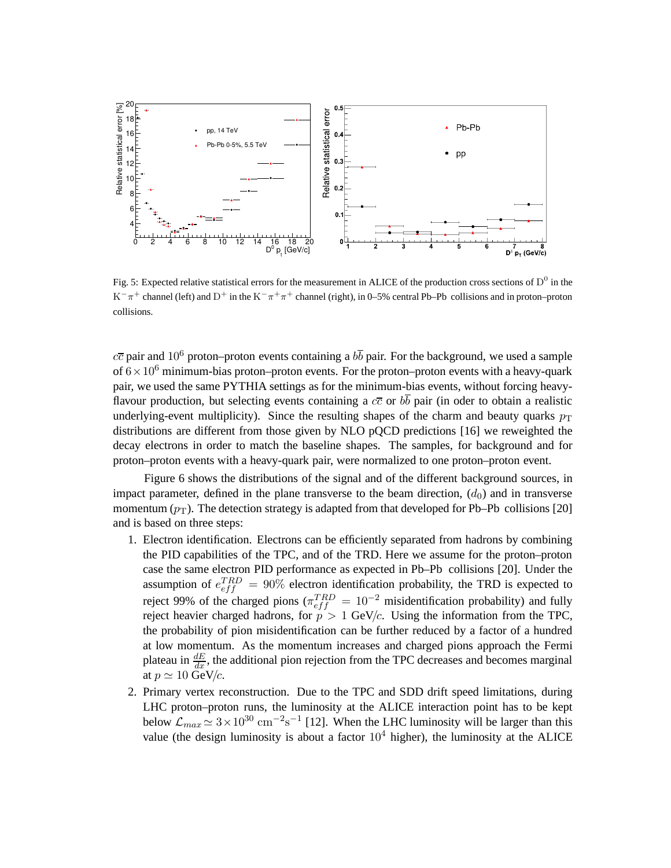

Fig. 5: Expected relative statistical errors for the measurement in ALICE of the production cross sections of  $D^0$  in the  $K^-\pi^+$  channel (left) and  $D^+$  in the  $K^-\pi^+\pi^+$  channel (right), in 0–5% central Pb–Pb collisions and in proton–proton collisions.

 $c\bar{c}$  pair and 10<sup>6</sup> proton–proton events containing a  $b\bar{b}$  pair. For the background, we used a sample of  $6 \times 10^6$  minimum-bias proton–proton events. For the proton–proton events with a heavy-quark pair, we used the same PYTHIA settings as for the minimum-bias events, without forcing heavyflavour production, but selecting events containing a  $c\bar{c}$  or  $b\bar{b}$  pair (in oder to obtain a realistic underlying-event multiplicity). Since the resulting shapes of the charm and beauty quarks  $p_T$ distributions are different from those given by NLO pQCD predictions [16] we reweighted the decay electrons in order to match the baseline shapes. The samples, for background and for proton–proton events with a heavy-quark pair, were normalized to one proton–proton event.

Figure 6 shows the distributions of the signal and of the different background sources, in impact parameter, defined in the plane transverse to the beam direction,  $(d_0)$  and in transverse momentum  $(p_T)$ . The detection strategy is adapted from that developed for Pb–Pb collisions [20] and is based on three steps:

- 1. Electron identification. Electrons can be efficiently separated from hadrons by combining the PID capabilities of the TPC, and of the TRD. Here we assume for the proton–proton case the same electron PID performance as expected in Pb–Pb collisions [20]. Under the assumption of  $e_{eff}^{TRD} = 90\%$  electron identification probability, the TRD is expected to reject 99% of the charged pions ( $\pi_{eff}^{TRD} = 10^{-2}$  misidentification probability) and fully reject heavier charged hadrons, for  $p > 1$  GeV/c. Using the information from the TPC, the probability of pion misidentification can be further reduced by a factor of a hundred at low momentum. As the momentum increases and charged pions approach the Fermi plateau in  $\frac{dE}{dx}$ , the additional pion rejection from the TPC decreases and becomes marginal at  $p \simeq 10$  GeV/c.
- 2. Primary vertex reconstruction. Due to the TPC and SDD drift speed limitations, during LHC proton–proton runs, the luminosity at the ALICE interaction point has to be kept below  $\mathcal{L}_{max} \simeq 3 \times 10^{30} \text{ cm}^{-2} \text{s}^{-1}$  [12]. When the LHC luminosity will be larger than this value (the design luminosity is about a factor  $10<sup>4</sup>$  higher), the luminosity at the ALICE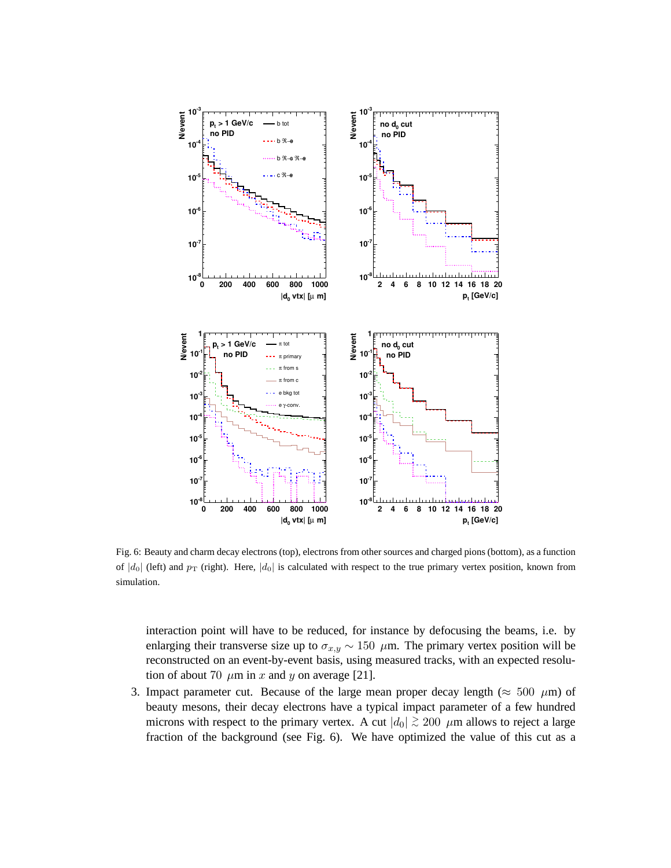

Fig. 6: Beauty and charm decay electrons (top), electrons from other sources and charged pions (bottom), as a function of  $|d_0|$  (left) and  $p_T$  (right). Here,  $|d_0|$  is calculated with respect to the true primary vertex position, known from simulation.

interaction point will have to be reduced, for instance by defocusing the beams, i.e. by enlarging their transverse size up to  $\sigma_{x,y} \sim 150 \mu$ m. The primary vertex position will be reconstructed on an event-by-event basis, using measured tracks, with an expected resolution of about 70  $\mu$ m in x and y on average [21].

3. Impact parameter cut. Because of the large mean proper decay length ( $\approx 500 \mu m$ ) of beauty mesons, their decay electrons have a typical impact parameter of a few hundred microns with respect to the primary vertex. A cut  $|d_0| \gtrsim 200 \mu$ m allows to reject a large fraction of the background (see Fig. 6). We have optimized the value of this cut as a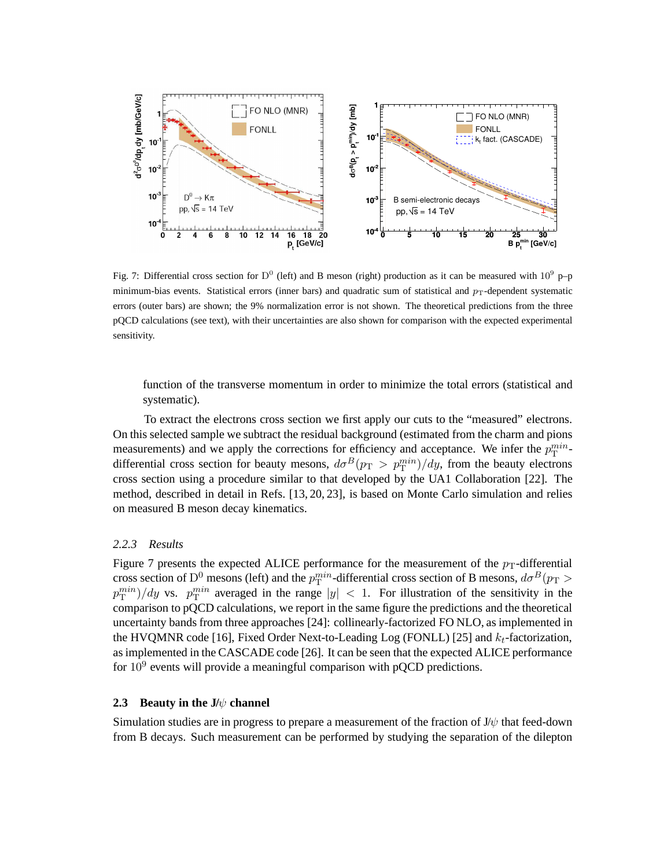

Fig. 7: Differential cross section for D<sup>0</sup> (left) and B meson (right) production as it can be measured with  $10^9$  p-p minimum-bias events. Statistical errors (inner bars) and quadratic sum of statistical and  $p_T$ -dependent systematic errors (outer bars) are shown; the 9% normalization error is not shown. The theoretical predictions from the three pQCD calculations (see text), with their uncertainties are also shown for comparison with the expected experimental sensitivity.

function of the transverse momentum in order to minimize the total errors (statistical and systematic).

To extract the electrons cross section we first apply our cuts to the "measured" electrons. On this selected sample we subtract the residual background (estimated from the charm and pions measurements) and we apply the corrections for efficiency and acceptance. We infer the  $p_T^{min}$ differential cross section for beauty mesons,  $d\sigma^B(p_T > p_T^{min})/dy$ , from the beauty electrons cross section using a procedure similar to that developed by the UA1 Collaboration [22]. The method, described in detail in Refs. [13, 20, 23], is based on Monte Carlo simulation and relies on measured B meson decay kinematics.

#### *2.2.3 Results*

Figure 7 presents the expected ALICE performance for the measurement of the  $p_T$ -differential cross section of  $\rm D^0$  mesons (left) and the  $p_T^{min}$ -differential cross section of B mesons,  $d\sigma^B(p_{\rm T} >$  $(p_T^{min})/dy$  vs.  $p_T^{min}$  averaged in the range  $|y| < 1$ . For illustration of the sensitivity in the comparison to pQCD calculations, we report in the same figure the predictions and the theoretical uncertainty bands from three approaches [24]: collinearly-factorized FO NLO, as implemented in the HVQMNR code [16], Fixed Order Next-to-Leading Log (FONLL) [25] and  $k_t$ -factorization, as implemented in the CASCADE code [26]. It can be seen that the expected ALICE performance for  $10^9$  events will provide a meaningful comparison with pQCD predictions.

#### **2.3 Beauty in the J/**ψ **channel**

Simulation studies are in progress to prepare a measurement of the fraction of  $J/\psi$  that feed-down from B decays. Such measurement can be performed by studying the separation of the dilepton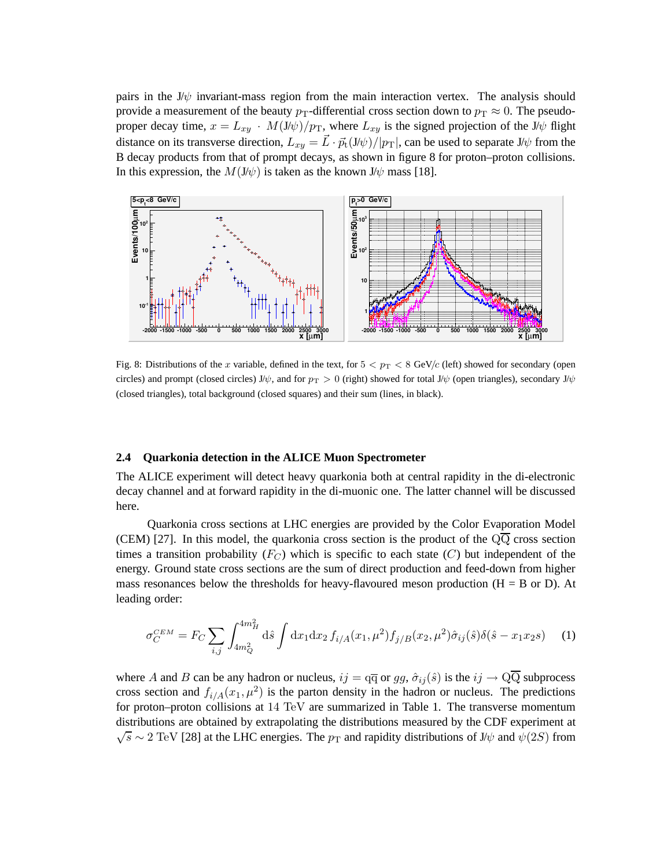pairs in the  $J/\psi$  invariant-mass region from the main interaction vertex. The analysis should provide a measurement of the beauty  $p_T$ -differential cross section down to  $p_T \approx 0$ . The pseudoproper decay time,  $x = L_{xy} + M(J/\psi)/p_T$ , where  $L_{xy}$  is the signed projection of the J/ $\psi$  flight distance on its transverse direction,  $L_{xy} = L \cdot \vec{p}_t(\mathbf{J}/\psi)/|\mathbf{p}_T|$ , can be used to separate  $\mathbf{J}/\psi$  from the B decay products from that of prompt decays, as shown in figure 8 for proton–proton collisions. In this expression, the  $M(J/\psi)$  is taken as the known  $J/\psi$  mass [18].



Fig. 8: Distributions of the x variable, defined in the text, for  $5 < p_T < 8$  GeV/c (left) showed for secondary (open circles) and prompt (closed circles) J/ $\psi$ , and for  $p_T > 0$  (right) showed for total J/ $\psi$  (open triangles), secondary J/ $\psi$ (closed triangles), total background (closed squares) and their sum (lines, in black).

#### **2.4 Quarkonia detection in the ALICE Muon Spectrometer**

The ALICE experiment will detect heavy quarkonia both at central rapidity in the di-electronic decay channel and at forward rapidity in the di-muonic one. The latter channel will be discussed here.

Quarkonia cross sections at LHC energies are provided by the Color Evaporation Model (CEM) [27]. In this model, the quarkonia cross section is the product of the  $Q\overline{Q}$  cross section times a transition probability  $(F_C)$  which is specific to each state  $(C)$  but independent of the energy. Ground state cross sections are the sum of direct production and feed-down from higher mass resonances below the thresholds for heavy-flavoured meson production  $(H = B \text{ or } D)$ . At leading order:

$$
\sigma_C^{CEM} = F_C \sum_{i,j} \int_{4m_Q^2}^{4m_H^2} d\hat{s} \int dx_1 dx_2 f_{i/A}(x_1, \mu^2) f_{j/B}(x_2, \mu^2) \hat{\sigma}_{ij}(\hat{s}) \delta(\hat{s} - x_1 x_2 s) \tag{1}
$$

where A and B can be any hadron or nucleus,  $ij = \overline{qq}$  or  $gg$ ,  $\hat{\sigma}_{ij}(\hat{s})$  is the  $ij \to \overline{QQ}$  subprocess cross section and  $f_{i/A}(x_1,\mu^2)$  is the parton density in the hadron or nucleus. The predictions for proton–proton collisions at 14 TeV are summarized in Table 1. The transverse momentum distributions are obtained by extrapolating the distributions measured by the CDF experiment at  $\sqrt{s} \sim 2 \text{ TeV}$  [28] at the LHC energies. The  $p_T$  and rapidity distributions of J/ $\psi$  and  $\psi(2S)$  from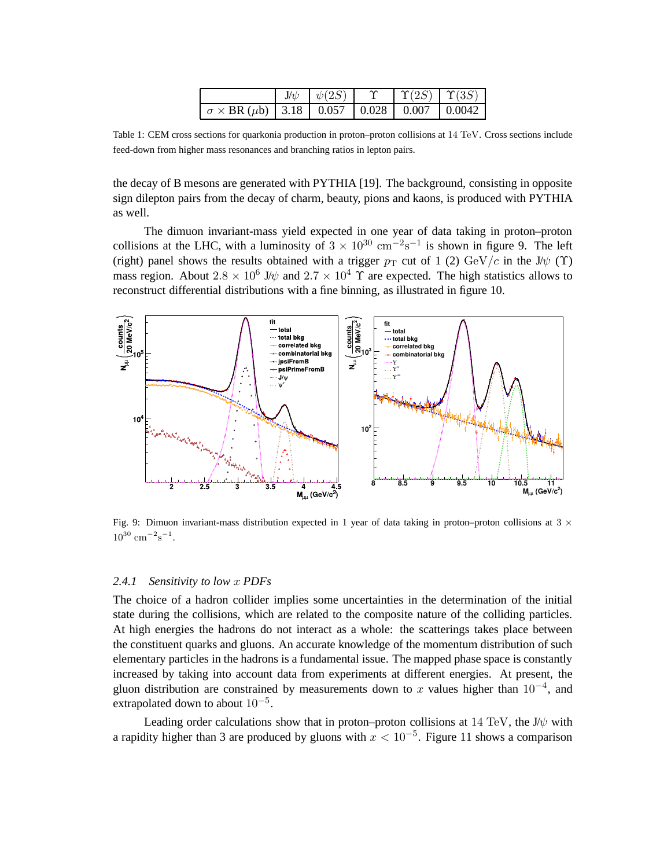|                                                                           |  | $J/\psi$ $\psi(2S)$ $\Upsilon$ $\Upsilon(2S)$ $\Upsilon(3S)$ |  |
|---------------------------------------------------------------------------|--|--------------------------------------------------------------|--|
| $\sigma \times \text{BR} (\mu b)$   3.18   0.057   0.028   0.007   0.0042 |  |                                                              |  |

Table 1: CEM cross sections for quarkonia production in proton–proton collisions at 14 TeV. Cross sections include feed-down from higher mass resonances and branching ratios in lepton pairs.

the decay of B mesons are generated with PYTHIA [19]. The background, consisting in opposite sign dilepton pairs from the decay of charm, beauty, pions and kaons, is produced with PYTHIA as well.

The dimuon invariant-mass yield expected in one year of data taking in proton–proton collisions at the LHC, with a luminosity of  $3 \times 10^{30}$  cm<sup>-2</sup>s<sup>-1</sup> is shown in figure 9. The left (right) panel shows the results obtained with a trigger  $p_T$  cut of 1 (2) GeV/c in the J/ $\psi$  (Y) mass region. About  $2.8 \times 10^6$  J/ $\psi$  and  $2.7 \times 10^4$   $\Upsilon$  are expected. The high statistics allows to reconstruct differential distributions with a fine binning, as illustrated in figure 10.



Fig. 9: Dimuon invariant-mass distribution expected in 1 year of data taking in proton–proton collisions at  $3 \times$  $10^{30}$  cm<sup>-2</sup>s<sup>-1</sup>.

#### *2.4.1 Sensitivity to low* x *PDFs*

The choice of a hadron collider implies some uncertainties in the determination of the initial state during the collisions, which are related to the composite nature of the colliding particles. At high energies the hadrons do not interact as a whole: the scatterings takes place between the constituent quarks and gluons. An accurate knowledge of the momentum distribution of such elementary particles in the hadrons is a fundamental issue. The mapped phase space is constantly increased by taking into account data from experiments at different energies. At present, the gluon distribution are constrained by measurements down to x values higher than  $10^{-4}$ , and extrapolated down to about  $10^{-5}$ .

Leading order calculations show that in proton–proton collisions at 14 TeV, the J/ $\psi$  with a rapidity higher than 3 are produced by gluons with  $x < 10^{-5}$ . Figure 11 shows a comparison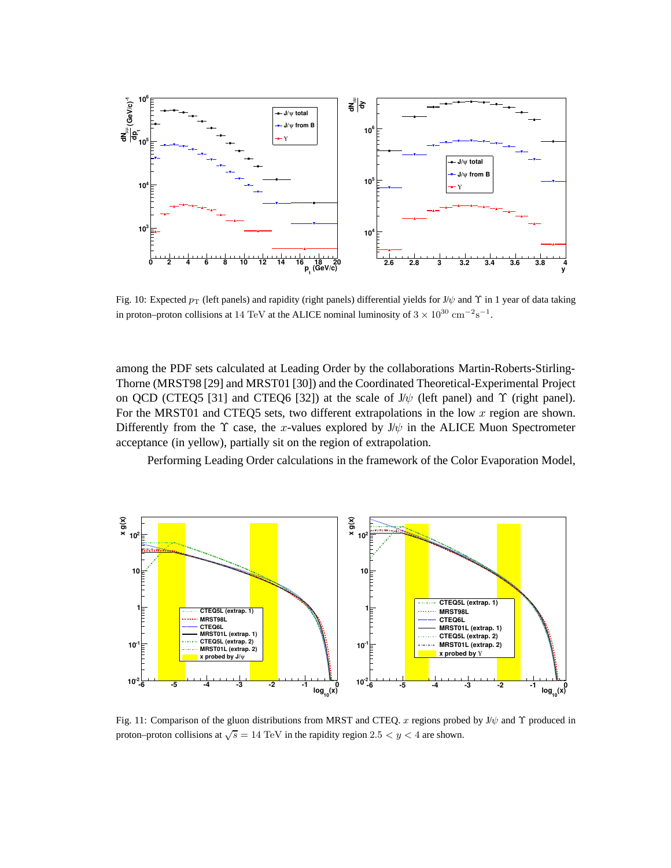

Fig. 10: Expected  $p_T$  (left panels) and rapidity (right panels) differential yields for J/ $\psi$  and  $\Upsilon$  in 1 year of data taking in proton–proton collisions at 14 TeV at the ALICE nominal luminosity of  $3 \times 10^{30} \text{ cm}^{-2} \text{s}^{-1}$ .

among the PDF sets calculated at Leading Order by the collaborations Martin-Roberts-Stirling-Thorne (MRST98 [29] and MRST01 [30]) and the Coordinated Theoretical-Experimental Project on QCD (CTEQ5 [31] and CTEQ6 [32]) at the scale of  $J/\psi$  (left panel) and  $\Upsilon$  (right panel). For the MRST01 and CTEQ5 sets, two different extrapolations in the low  $x$  region are shown. Differently from the  $\Upsilon$  case, the x-values explored by J/ $\psi$  in the ALICE Muon Spectrometer acceptance (in yellow), partially sit on the region of extrapolation.

Performing Leading Order calculations in the framework of the Color Evaporation Model,



Fig. 11: Comparison of the gluon distributions from MRST and CTEQ. x regions probed by J/ψ and Υ produced in proton–proton collisions at  $\sqrt{s} = 14$  TeV in the rapidity region 2.5  $\lt y \lt 4$  are shown.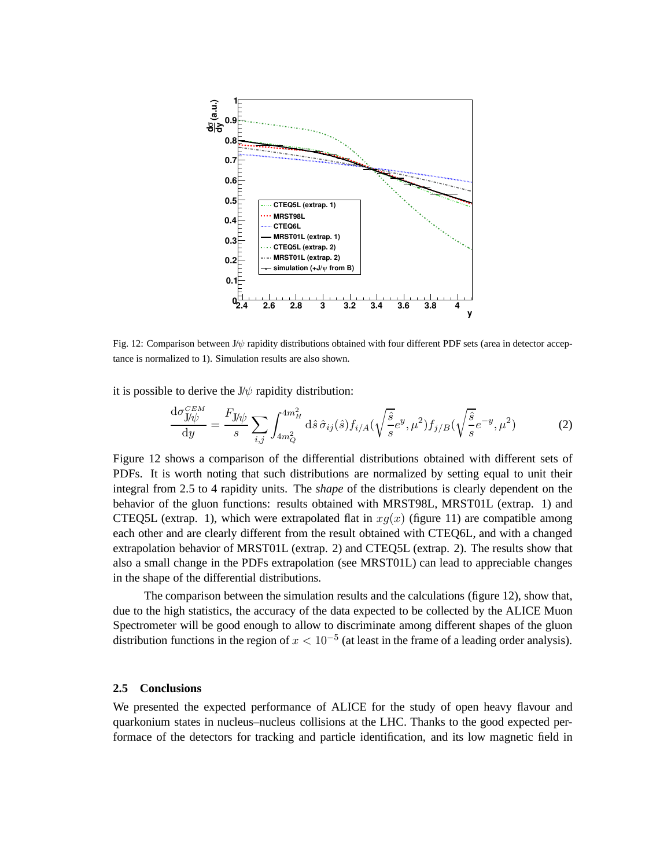

Fig. 12: Comparison between J/ψ rapidity distributions obtained with four different PDF sets (area in detector acceptance is normalized to 1). Simulation results are also shown.

it is possible to derive the  $J/\psi$  rapidity distribution:

$$
\frac{\mathrm{d}\sigma_{\mathbf{J}/\psi}^{CEM}}{\mathrm{d}y} = \frac{F_{\mathbf{J}/\psi}}{s} \sum_{i,j} \int_{4m_Q^2}^{4m_H^2} \mathrm{d}\hat{s} \,\hat{\sigma}_{ij}(\hat{s}) f_{i/A}(\sqrt{\frac{\hat{s}}{s}} e^y, \mu^2) f_{j/B}(\sqrt{\frac{\hat{s}}{s}} e^{-y}, \mu^2) \tag{2}
$$

Figure 12 shows a comparison of the differential distributions obtained with different sets of PDFs. It is worth noting that such distributions are normalized by setting equal to unit their integral from 2.5 to 4 rapidity units. The *shape* of the distributions is clearly dependent on the behavior of the gluon functions: results obtained with MRST98L, MRST01L (extrap. 1) and CTEQ5L (extrap. 1), which were extrapolated flat in  $xg(x)$  (figure 11) are compatible among each other and are clearly different from the result obtained with CTEQ6L, and with a changed extrapolation behavior of MRST01L (extrap. 2) and CTEQ5L (extrap. 2). The results show that also a small change in the PDFs extrapolation (see MRST01L) can lead to appreciable changes in the shape of the differential distributions.

The comparison between the simulation results and the calculations (figure 12), show that, due to the high statistics, the accuracy of the data expected to be collected by the ALICE Muon Spectrometer will be good enough to allow to discriminate among different shapes of the gluon distribution functions in the region of  $x < 10^{-5}$  (at least in the frame of a leading order analysis).

#### **2.5 Conclusions**

We presented the expected performance of ALICE for the study of open heavy flavour and quarkonium states in nucleus–nucleus collisions at the LHC. Thanks to the good expected performace of the detectors for tracking and particle identification, and its low magnetic field in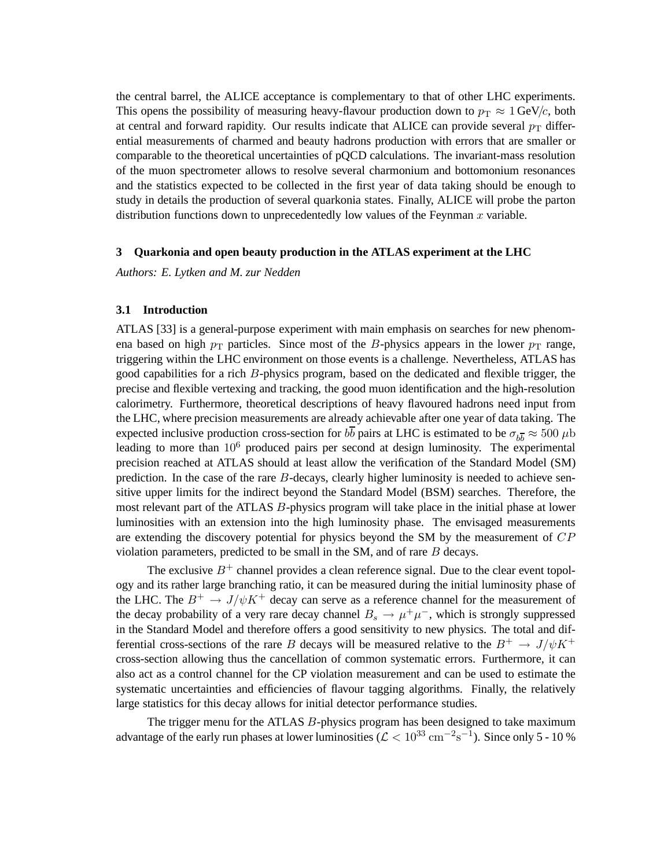the central barrel, the ALICE acceptance is complementary to that of other LHC experiments. This opens the possibility of measuring heavy-flavour production down to  $p_T \approx 1$  GeV/c, both at central and forward rapidity. Our results indicate that ALICE can provide several  $p_T$  differential measurements of charmed and beauty hadrons production with errors that are smaller or comparable to the theoretical uncertainties of pQCD calculations. The invariant-mass resolution of the muon spectrometer allows to resolve several charmonium and bottomonium resonances and the statistics expected to be collected in the first year of data taking should be enough to study in details the production of several quarkonia states. Finally, ALICE will probe the parton distribution functions down to unprecedentedly low values of the Feynman  $x$  variable.

## **3 Quarkonia and open beauty production in the ATLAS experiment at the LHC**

*Authors: E. Lytken and M. zur Nedden*

#### **3.1 Introduction**

ATLAS [33] is a general-purpose experiment with main emphasis on searches for new phenomena based on high  $p_T$  particles. Since most of the B-physics appears in the lower  $p_T$  range, triggering within the LHC environment on those events is a challenge. Nevertheless, ATLAS has good capabilities for a rich B-physics program, based on the dedicated and flexible trigger, the precise and flexible vertexing and tracking, the good muon identification and the high-resolution calorimetry. Furthermore, theoretical descriptions of heavy flavoured hadrons need input from the LHC, where precision measurements are already achievable after one year of data taking. The expected inclusive production cross-section for  $b\bar{b}$  pairs at LHC is estimated to be  $\sigma_{b\bar{b}} \approx 500 \,\mu b$ leading to more than  $10^6$  produced pairs per second at design luminosity. The experimental precision reached at ATLAS should at least allow the verification of the Standard Model (SM) prediction. In the case of the rare B-decays, clearly higher luminosity is needed to achieve sensitive upper limits for the indirect beyond the Standard Model (BSM) searches. Therefore, the most relevant part of the ATLAS B-physics program will take place in the initial phase at lower luminosities with an extension into the high luminosity phase. The envisaged measurements are extending the discovery potential for physics beyond the SM by the measurement of  $CP$ violation parameters, predicted to be small in the SM, and of rare  $B$  decays.

The exclusive  $B^+$  channel provides a clean reference signal. Due to the clear event topology and its rather large branching ratio, it can be measured during the initial luminosity phase of the LHC. The  $B^+ \to J/\psi K^+$  decay can serve as a reference channel for the measurement of the decay probability of a very rare decay channel  $B_s \to \mu^+ \mu^-$ , which is strongly suppressed in the Standard Model and therefore offers a good sensitivity to new physics. The total and differential cross-sections of the rare B decays will be measured relative to the  $B^+ \rightarrow J/\psi K^+$ cross-section allowing thus the cancellation of common systematic errors. Furthermore, it can also act as a control channel for the CP violation measurement and can be used to estimate the systematic uncertainties and efficiencies of flavour tagging algorithms. Finally, the relatively large statistics for this decay allows for initial detector performance studies.

The trigger menu for the ATLAS B-physics program has been designed to take maximum advantage of the early run phases at lower luminosities ( $\mathcal{L} < 10^{33} \text{ cm}^{-2} \text{s}^{-1}$ ). Since only 5 - 10 %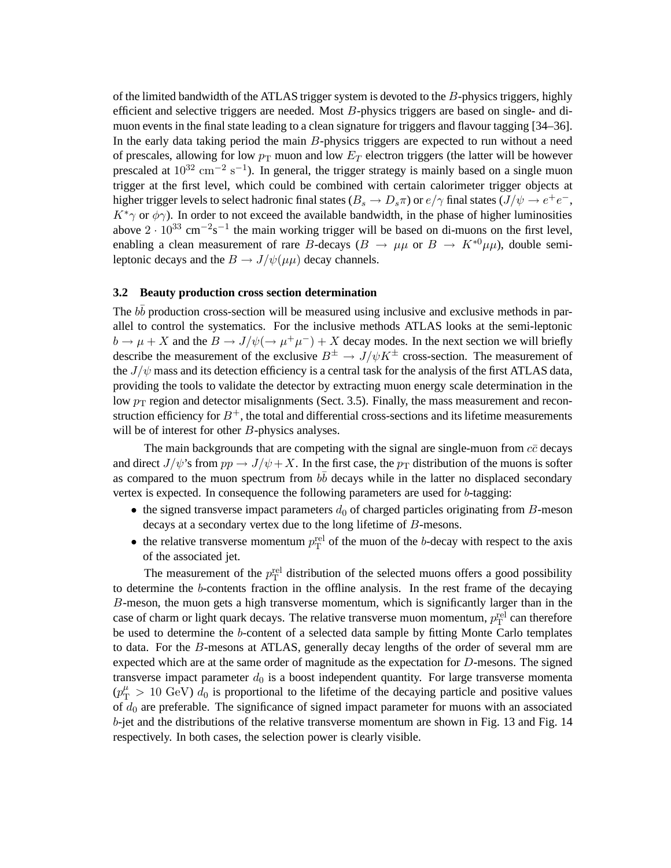of the limited bandwidth of the ATLAS trigger system is devoted to the  $B$ -physics triggers, highly efficient and selective triggers are needed. Most  $B$ -physics triggers are based on single- and dimuon events in the final state leading to a clean signature for triggers and flavour tagging [34–36]. In the early data taking period the main B-physics triggers are expected to run without a need of prescales, allowing for low  $p_T$  muon and low  $E_T$  electron triggers (the latter will be however prescaled at  $10^{32}$  cm<sup>-2</sup> s<sup>-1</sup>). In general, the trigger strategy is mainly based on a single muon trigger at the first level, which could be combined with certain calorimeter trigger objects at higher trigger levels to select hadronic final states  $(B_s \to D_s \pi)$  or  $e/\gamma$  final states  $(J/\psi \to e^+e^-$ ,  $K^*\gamma$  or  $\phi\gamma$ ). In order to not exceed the available bandwidth, in the phase of higher luminosities above  $2 \cdot 10^{33}$  cm<sup>-2</sup>s<sup>-1</sup> the main working trigger will be based on di-muons on the first level, enabling a clean measurement of rare B-decays ( $B \to \mu\mu$  or  $B \to K^{*0}\mu\mu$ ), double semileptonic decays and the  $B \to J/\psi(\mu\mu)$  decay channels.

#### **3.2 Beauty production cross section determination**

The  $b\bar{b}$  production cross-section will be measured using inclusive and exclusive methods in parallel to control the systematics. For the inclusive methods ATLAS looks at the semi-leptonic  $b \to \mu + X$  and the  $B \to J/\psi (\to \mu^+ \mu^-) + X$  decay modes. In the next section we will briefly describe the measurement of the exclusive  $B^{\pm} \to J/\psi K^{\pm}$  cross-section. The measurement of the  $J/\psi$  mass and its detection efficiency is a central task for the analysis of the first ATLAS data, providing the tools to validate the detector by extracting muon energy scale determination in the low  $p_T$  region and detector misalignments (Sect. 3.5). Finally, the mass measurement and reconstruction efficiency for  $B^+$ , the total and differential cross-sections and its lifetime measurements will be of interest for other *B*-physics analyses.

The main backgrounds that are competing with the signal are single-muon from  $c\bar{c}$  decays and direct  $J/\psi$ 's from  $pp \to J/\psi + X$ . In the first case, the  $p_T$  distribution of the muons is softer as compared to the muon spectrum from  $b\bar{b}$  decays while in the latter no displaced secondary vertex is expected. In consequence the following parameters are used for b-tagging:

- the signed transverse impact parameters  $d_0$  of charged particles originating from B-meson decays at a secondary vertex due to the long lifetime of B-mesons.
- the relative transverse momentum  $p_T^{\text{rel}}$  of the muon of the b-decay with respect to the axis of the associated jet.

The measurement of the  $p_T^{\text{rel}}$  distribution of the selected muons offers a good possibility to determine the b-contents fraction in the offline analysis. In the rest frame of the decaying B-meson, the muon gets a high transverse momentum, which is significantly larger than in the case of charm or light quark decays. The relative transverse muon momentum,  $p_T^{\text{rel}}$  can therefore be used to determine the b-content of a selected data sample by fitting Monte Carlo templates to data. For the B-mesons at ATLAS, generally decay lengths of the order of several mm are expected which are at the same order of magnitude as the expectation for D-mesons. The signed transverse impact parameter  $d_0$  is a boost independent quantity. For large transverse momenta  $(p_{\rm T}^{\mu} > 10 \text{ GeV}) d_0$  is proportional to the lifetime of the decaying particle and positive values of  $d_0$  are preferable. The significance of signed impact parameter for muons with an associated b-jet and the distributions of the relative transverse momentum are shown in Fig. 13 and Fig. 14 respectively. In both cases, the selection power is clearly visible.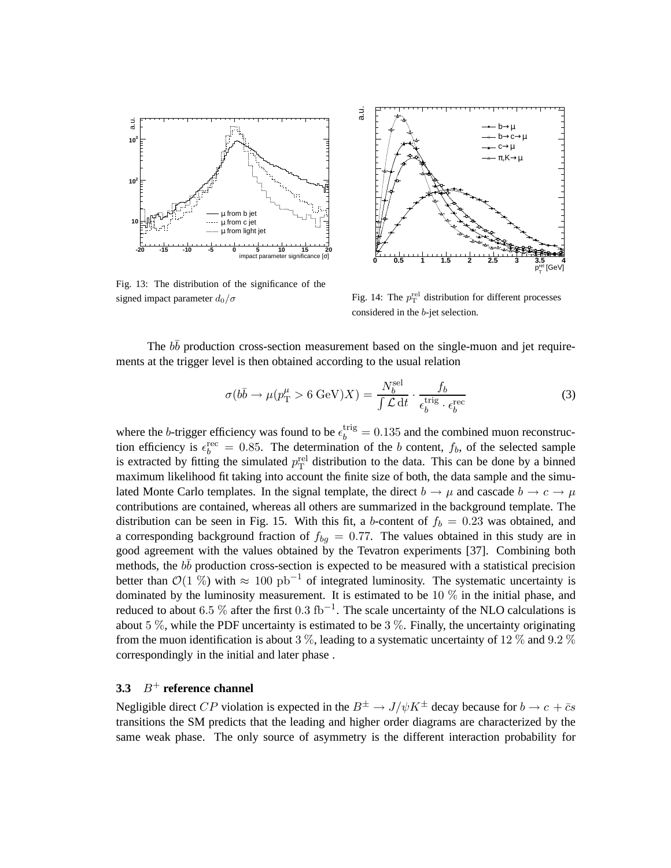

Fig. 13: The distribution of the significance of the signed impact parameter  $d_0/\sigma$ 



Fig. 14: The  $p_T^{\text{rel}}$  distribution for different processes considered in the b-jet selection.

The  $b\bar{b}$  production cross-section measurement based on the single-muon and jet requirements at the trigger level is then obtained according to the usual relation

$$
\sigma(b\bar{b}\to\mu(p_{\rm T}^{\mu}>6\,\text{GeV})X) = \frac{N_b^{\text{sel}}}{\int \mathcal{L}\,\text{d}t} \cdot \frac{f_b}{\epsilon_b^{\text{trig}} \cdot \epsilon_b^{\text{rec}}}
$$
(3)

where the *b*-trigger efficiency was found to be  $\epsilon_b^{\text{trig}} = 0.135$  and the combined muon reconstruction efficiency is  $\epsilon_b^{\text{rec}} = 0.85$ . The determination of the b content,  $f_b$ , of the selected sample is extracted by fitting the simulated  $p_T^{\text{rel}}$  distribution to the data. This can be done by a binned maximum likelihood fit taking into account the finite size of both, the data sample and the simulated Monte Carlo templates. In the signal template, the direct  $b \to \mu$  and cascade  $b \to c \to \mu$ contributions are contained, whereas all others are summarized in the background template. The distribution can be seen in Fig. 15. With this fit, a b-content of  $f_b = 0.23$  was obtained, and a corresponding background fraction of  $f_{bq} = 0.77$ . The values obtained in this study are in good agreement with the values obtained by the Tevatron experiments [37]. Combining both methods, the  $b\bar{b}$  production cross-section is expected to be measured with a statistical precision better than  $\mathcal{O}(1\%)$  with  $\approx 100 \text{ pb}^{-1}$  of integrated luminosity. The systematic uncertainty is dominated by the luminosity measurement. It is estimated to be 10  $\%$  in the initial phase, and reduced to about 6.5 % after the first  $0.3$  fb<sup>-1</sup>. The scale uncertainty of the NLO calculations is about 5  $\%$ , while the PDF uncertainty is estimated to be 3  $\%$ . Finally, the uncertainty originating from the muon identification is about 3 %, leading to a systematic uncertainty of 12 % and 9.2 % correspondingly in the initial and later phase .

## **3.3** B<sup>+</sup> **reference channel**

Negligible direct CP violation is expected in the  $B^{\pm} \to J/\psi K^{\pm}$  decay because for  $b \to c + \bar{c}s$ transitions the SM predicts that the leading and higher order diagrams are characterized by the same weak phase. The only source of asymmetry is the different interaction probability for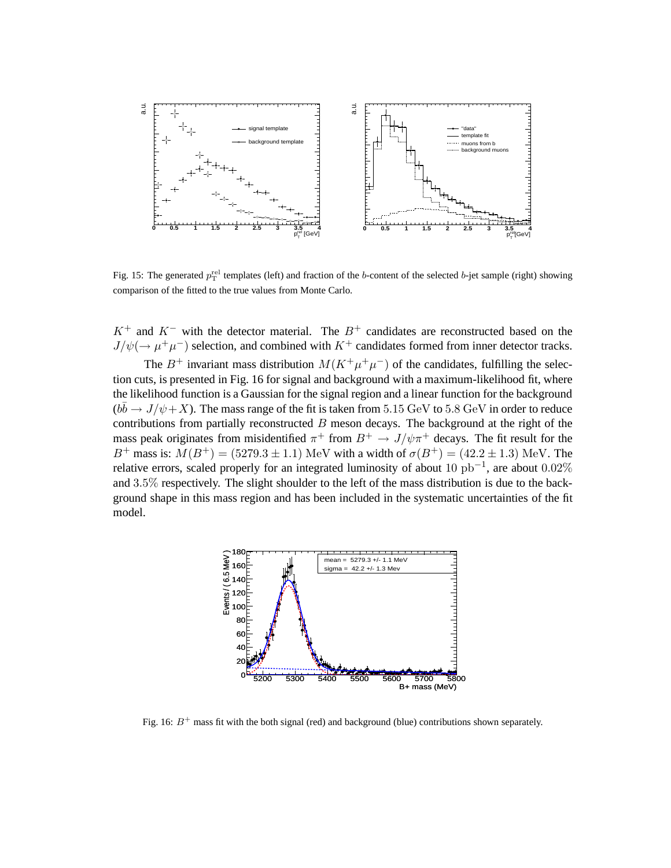

Fig. 15: The generated  $p_T^{\text{rel}}$  templates (left) and fraction of the b-content of the selected b-jet sample (right) showing comparison of the fitted to the true values from Monte Carlo.

 $K^+$  and  $K^-$  with the detector material. The  $B^+$  candidates are reconstructed based on the  $J/\psi(\rightarrow \mu^+\mu^-)$  selection, and combined with  $K^+$  candidates formed from inner detector tracks.

The  $B^+$  invariant mass distribution  $M(K^+\mu^+\mu^-)$  of the candidates, fulfilling the selection cuts, is presented in Fig. 16 for signal and background with a maximum-likelihood fit, where the likelihood function is a Gaussian for the signal region and a linear function for the background  $(b\bar{b} \rightarrow J/\psi + X)$ . The mass range of the fit is taken from 5.15 GeV to 5.8 GeV in order to reduce contributions from partially reconstructed  $B$  meson decays. The background at the right of the mass peak originates from misidentified  $\pi^+$  from  $B^+ \to J/\psi \pi^+$  decays. The fit result for the B<sup>+</sup> mass is:  $M(B^+) = (5279.3 \pm 1.1)$  MeV with a width of  $\sigma(B^+) = (42.2 \pm 1.3)$  MeV. The relative errors, scaled properly for an integrated luminosity of about  $10 \text{ pb}^{-1}$ , are about  $0.02\%$ and 3.5% respectively. The slight shoulder to the left of the mass distribution is due to the background shape in this mass region and has been included in the systematic uncertainties of the fit model.



Fig. 16:  $B^+$  mass fit with the both signal (red) and background (blue) contributions shown separately.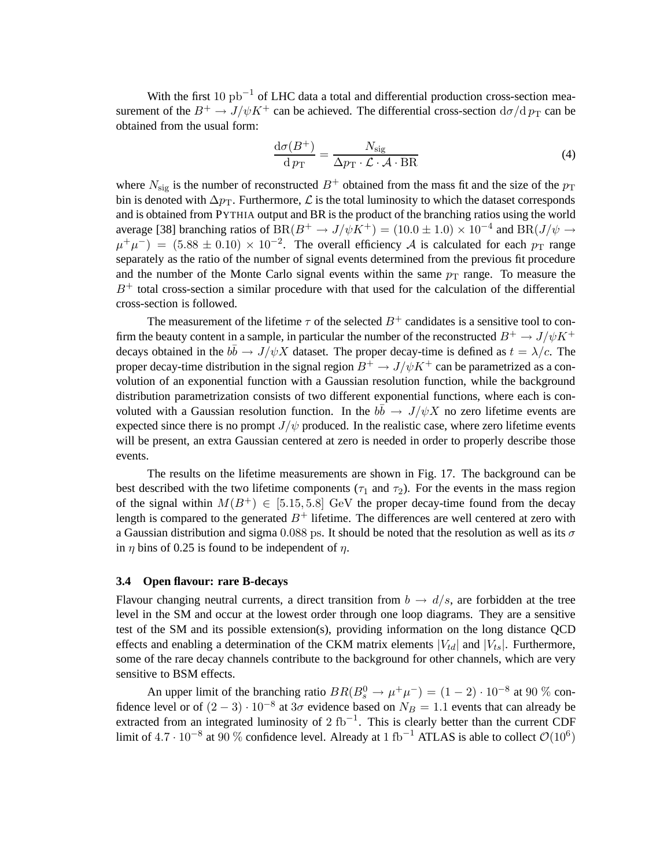With the first 10  $pb^{-1}$  of LHC data a total and differential production cross-section measurement of the  $B^+ \to J/\psi K^+$  can be achieved. The differential cross-section  $d\sigma/d p_T$  can be obtained from the usual form:

$$
\frac{\mathrm{d}\sigma(B^{+})}{\mathrm{d}p_{\mathrm{T}}} = \frac{N_{\mathrm{sig}}}{\Delta p_{\mathrm{T}} \cdot \mathcal{L} \cdot \mathcal{A} \cdot \mathrm{BR}}\tag{4}
$$

where  $N_{\text{sig}}$  is the number of reconstructed  $B^+$  obtained from the mass fit and the size of the  $p_T$ bin is denoted with  $\Delta p$ <sub>T</sub>. Furthermore,  $\mathcal L$  is the total luminosity to which the dataset corresponds and is obtained from PYTHIA output and BR is the product of the branching ratios using the world average [38] branching ratios of  $BR(B^+ \to J/\psi K^+) = (10.0 \pm 1.0) \times 10^{-4}$  and  $BR(J/\psi \to$  $\mu^+\mu^-$  = (5.88  $\pm$  0.10) × 10<sup>-2</sup>. The overall efficiency A is calculated for each  $p_T$  range separately as the ratio of the number of signal events determined from the previous fit procedure and the number of the Monte Carlo signal events within the same  $p_T$  range. To measure the  $B<sup>+</sup>$  total cross-section a similar procedure with that used for the calculation of the differential cross-section is followed.

The measurement of the lifetime  $\tau$  of the selected  $B^+$  candidates is a sensitive tool to confirm the beauty content in a sample, in particular the number of the reconstructed  $B^+ \to J/\psi K^+$ decays obtained in the  $b\bar{b} \to J/\psi X$  dataset. The proper decay-time is defined as  $t = \lambda/c$ . The proper decay-time distribution in the signal region  $B^+ \to J/\psi K^+$  can be parametrized as a convolution of an exponential function with a Gaussian resolution function, while the background distribution parametrization consists of two different exponential functions, where each is convoluted with a Gaussian resolution function. In the  $b\bar{b} \rightarrow J/\psi X$  no zero lifetime events are expected since there is no prompt  $J/\psi$  produced. In the realistic case, where zero lifetime events will be present, an extra Gaussian centered at zero is needed in order to properly describe those events.

The results on the lifetime measurements are shown in Fig. 17. The background can be best described with the two lifetime components ( $\tau_1$  and  $\tau_2$ ). For the events in the mass region of the signal within  $M(B^+) \in [5.15, 5.8]$  GeV the proper decay-time found from the decay length is compared to the generated  $B^+$  lifetime. The differences are well centered at zero with a Gaussian distribution and sigma 0.088 ps. It should be noted that the resolution as well as its  $\sigma$ in  $\eta$  bins of 0.25 is found to be independent of  $\eta$ .

#### **3.4 Open flavour: rare B-decays**

Flavour changing neutral currents, a direct transition from  $b \to d/s$ , are forbidden at the tree level in the SM and occur at the lowest order through one loop diagrams. They are a sensitive test of the SM and its possible extension(s), providing information on the long distance QCD effects and enabling a determination of the CKM matrix elements  $|V_{td}|$  and  $|V_{ts}|$ . Furthermore, some of the rare decay channels contribute to the background for other channels, which are very sensitive to BSM effects.

An upper limit of the branching ratio  $BR(B_s^0 \to \mu^+ \mu^-) = (1 - 2) \cdot 10^{-8}$  at 90 % confidence level or of  $(2-3) \cdot 10^{-8}$  at  $3\sigma$  evidence based on  $N_B = 1.1$  events that can already be extracted from an integrated luminosity of 2  $fb^{-1}$ . This is clearly better than the current CDF limit of  $4.7 \cdot 10^{-8}$  at 90 % confidence level. Already at 1 fb<sup>-1</sup> ATLAS is able to collect  $\mathcal{O}(10^6)$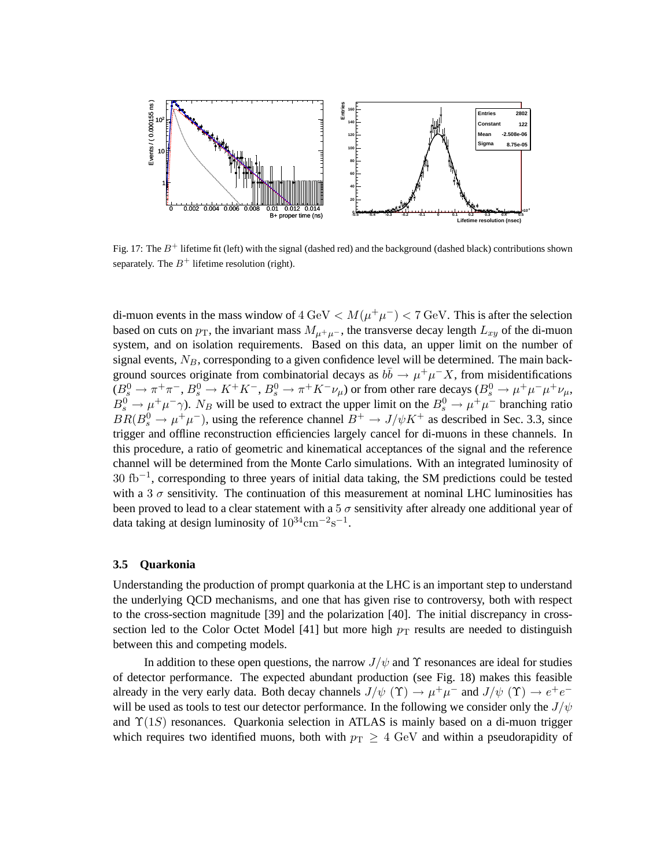

Fig. 17: The  $B^+$  lifetime fit (left) with the signal (dashed red) and the background (dashed black) contributions shown separately. The  $B^+$  lifetime resolution (right).

di-muon events in the mass window of  $4 \text{ GeV} < M(\mu^+ \mu^-) < 7 \text{ GeV}$ . This is after the selection based on cuts on  $p_T$ , the invariant mass  $M_{\mu^+\mu^-}$ , the transverse decay length  $L_{xy}$  of the di-muon system, and on isolation requirements. Based on this data, an upper limit on the number of signal events,  $N_B$ , corresponding to a given confidence level will be determined. The main background sources originate from combinatorial decays as  $b\bar{b} \to \mu^+\mu^-X$ , from misidentifications  $(B_s^0 \to \pi^+ \pi^-, B_s^0 \to K^+ K^-, B_s^0 \to \pi^+ K^- \nu_\mu)$  or from other rare decays  $(B_s^0 \to \mu^+ \mu^- \mu^+ \nu_\mu,$  $B_s^0 \to \mu^+ \mu^- \gamma$ ). N<sub>B</sub> will be used to extract the upper limit on the  $B_s^0 \to \mu^+ \mu^-$  branching ratio  $BR(B_s^0 \to \mu^+ \mu^-)$ , using the reference channel  $B^+ \to J/\psi K^+$  as described in Sec. 3.3, since trigger and offline reconstruction efficiencies largely cancel for di-muons in these channels. In this procedure, a ratio of geometric and kinematical acceptances of the signal and the reference channel will be determined from the Monte Carlo simulations. With an integrated luminosity of 30 fb−<sup>1</sup> , corresponding to three years of initial data taking, the SM predictions could be tested with a 3  $\sigma$  sensitivity. The continuation of this measurement at nominal LHC luminosities has been proved to lead to a clear statement with a  $5\sigma$  sensitivity after already one additional year of data taking at design luminosity of  $10^{34}$ cm<sup>-2</sup>s<sup>-1</sup>.

#### **3.5 Quarkonia**

Understanding the production of prompt quarkonia at the LHC is an important step to understand the underlying QCD mechanisms, and one that has given rise to controversy, both with respect to the cross-section magnitude [39] and the polarization [40]. The initial discrepancy in crosssection led to the Color Octet Model [41] but more high  $p_T$  results are needed to distinguish between this and competing models.

In addition to these open questions, the narrow  $J/\psi$  and  $\Upsilon$  resonances are ideal for studies of detector performance. The expected abundant production (see Fig. 18) makes this feasible already in the very early data. Both decay channels  $J/\psi$  (Υ)  $\rightarrow \mu^+\mu^-$  and  $J/\psi$  (Υ)  $\rightarrow e^+e^$ will be used as tools to test our detector performance. In the following we consider only the  $J/\psi$ and  $\Upsilon(1S)$  resonances. Quarkonia selection in ATLAS is mainly based on a di-muon trigger which requires two identified muons, both with  $p_T \geq 4$  GeV and within a pseudorapidity of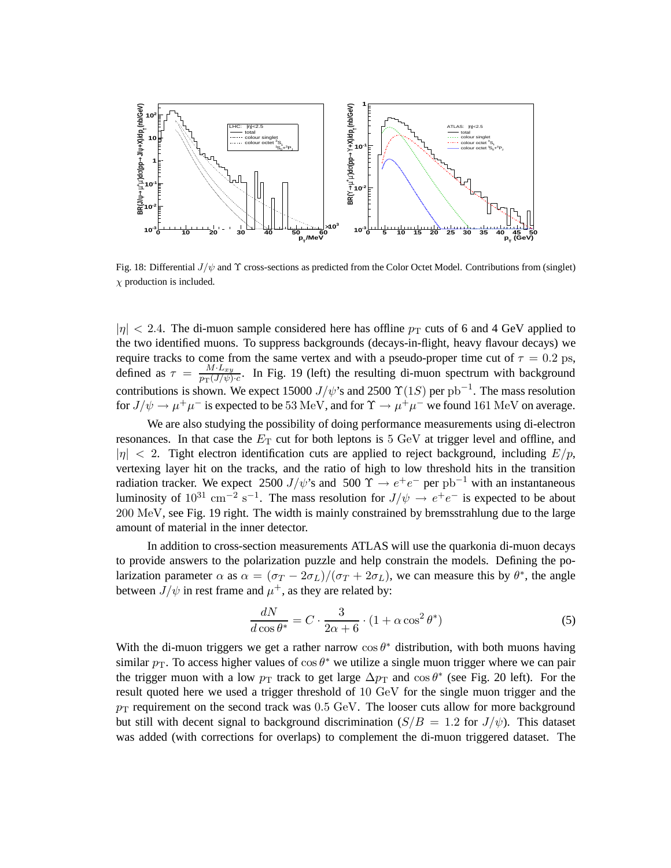

Fig. 18: Differential  $J/\psi$  and  $\Upsilon$  cross-sections as predicted from the Color Octet Model. Contributions from (singlet)  $\chi$  production is included.

 $|\eta| < 2.4$ . The di-muon sample considered here has offline  $p_T$  cuts of 6 and 4 GeV applied to the two identified muons. To suppress backgrounds (decays-in-flight, heavy flavour decays) we require tracks to come from the same vertex and with a pseudo-proper time cut of  $\tau = 0.2$  ps, defined as  $\tau = \frac{M \cdot L_{xy}}{n_{xy}(J/y)}$  $\frac{m \cdot L_{xy}}{p_{\text{T}}(J/\psi) \cdot c}$ . In Fig. 19 (left) the resulting di-muon spectrum with background contributions is shown. We expect 15000  $J/\psi$ 's and 2500  $\Upsilon(1S)$  per pb<sup>-1</sup>. The mass resolution for  $J/\psi \to \mu^+\mu^-$  is expected to be 53 MeV, and for  $\Upsilon \to \mu^+\mu^-$  we found 161 MeV on average.

We are also studying the possibility of doing performance measurements using di-electron resonances. In that case the  $E<sub>T</sub>$  cut for both leptons is 5 GeV at trigger level and offline, and  $|\eta|$  < 2. Tight electron identification cuts are applied to reject background, including  $E/p$ , vertexing layer hit on the tracks, and the ratio of high to low threshold hits in the transition radiation tracker. We expect 2500 J/ $\psi$ 's and 500  $\Upsilon \rightarrow e^+e^-$  per pb<sup>-1</sup> with an instantaneous luminosity of  $10^{31}$  cm<sup>-2</sup> s<sup>-1</sup>. The mass resolution for  $J/\psi \to e^+e^-$  is expected to be about 200 MeV, see Fig. 19 right. The width is mainly constrained by bremsstrahlung due to the large amount of material in the inner detector.

In addition to cross-section measurements ATLAS will use the quarkonia di-muon decays to provide answers to the polarization puzzle and help constrain the models. Defining the polarization parameter  $\alpha$  as  $\alpha = (\sigma_T - 2\sigma_L)/(\sigma_T + 2\sigma_L)$ , we can measure this by  $\theta^*$ , the angle between  $J/\psi$  in rest frame and  $\mu^+$ , as they are related by:

$$
\frac{dN}{d\cos\theta^*} = C \cdot \frac{3}{2\alpha + 6} \cdot (1 + \alpha \cos^2 \theta^*)
$$
\n(5)

With the di-muon triggers we get a rather narrow  $\cos \theta^*$  distribution, with both muons having similar  $p_T$ . To access higher values of  $\cos \theta^*$  we utilize a single muon trigger where we can pair the trigger muon with a low  $p_T$  track to get large  $\Delta p_T$  and  $\cos \theta^*$  (see Fig. 20 left). For the result quoted here we used a trigger threshold of 10 GeV for the single muon trigger and the  $p_T$  requirement on the second track was 0.5 GeV. The looser cuts allow for more background but still with decent signal to background discrimination  $(S/B = 1.2$  for  $J/\psi$ ). This dataset was added (with corrections for overlaps) to complement the di-muon triggered dataset. The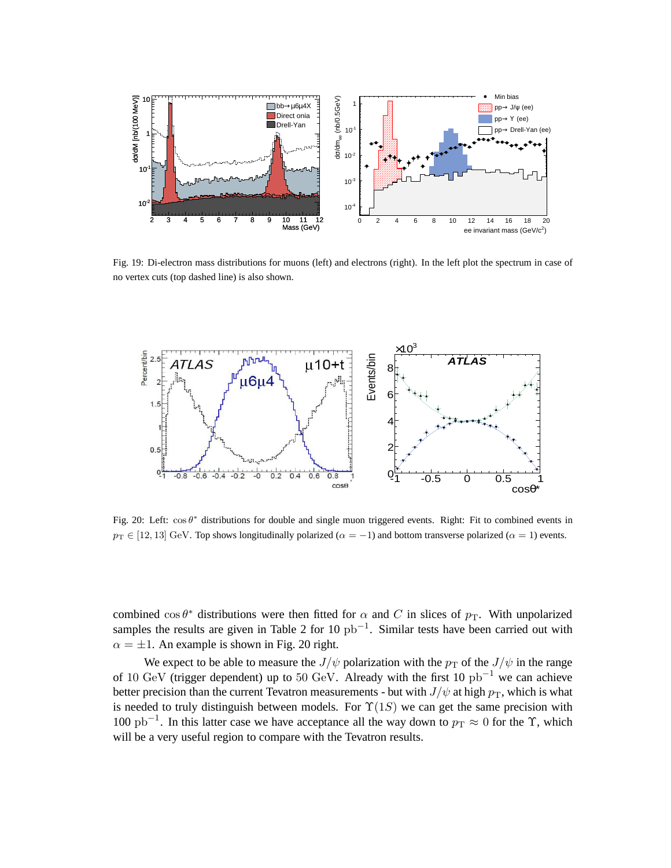

Fig. 19: Di-electron mass distributions for muons (left) and electrons (right). In the left plot the spectrum in case of no vertex cuts (top dashed line) is also shown.



Fig. 20: Left:  $\cos \theta^*$  distributions for double and single muon triggered events. Right: Fit to combined events in  $p_T \in [12, 13]$  GeV. Top shows longitudinally polarized ( $\alpha = -1$ ) and bottom transverse polarized ( $\alpha = 1$ ) events.

combined  $\cos \theta^*$  distributions were then fitted for  $\alpha$  and C in slices of  $p_T$ . With unpolarized samples the results are given in Table 2 for 10  $pb^{-1}$ . Similar tests have been carried out with  $\alpha = \pm 1$ . An example is shown in Fig. 20 right.

We expect to be able to measure the  $J/\psi$  polarization with the  $p_T$  of the  $J/\psi$  in the range of 10 GeV (trigger dependent) up to 50 GeV. Already with the first 10 pb−<sup>1</sup> we can achieve better precision than the current Tevatron measurements - but with  $J/\psi$  at high  $p_T$ , which is what is needed to truly distinguish between models. For  $\Upsilon(1S)$  we can get the same precision with 100 pb<sup>-1</sup>. In this latter case we have acceptance all the way down to  $p_T \approx 0$  for the  $\Upsilon$ , which will be a very useful region to compare with the Tevatron results.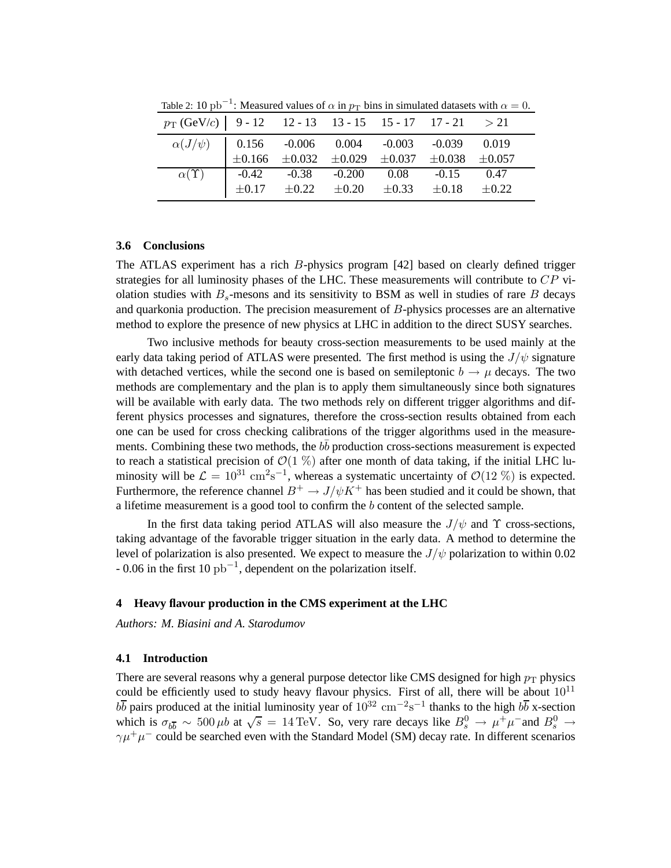| $p_{\text{T}}$ (GeV/c)   9 - 12 - 12 - 13 - 13 - 15 - 15 - 17 - 17 - 21 > 21                                                                                                     |  |  |  |  |
|----------------------------------------------------------------------------------------------------------------------------------------------------------------------------------|--|--|--|--|
| $\begin{array}{c cccccc} \alpha(J/\psi) & 0.156 & -0.006 & 0.004 & -0.003 & -0.039 & 0.019 \\ \pm 0.166 & \pm 0.032 & \pm 0.029 & \pm 0.037 & \pm 0.038 & \pm 0.057 \end{array}$ |  |  |  |  |
|                                                                                                                                                                                  |  |  |  |  |
| $\alpha(\Upsilon)$ -0.42 -0.38 -0.200 0.08 -0.15 0.47<br>$\pm 0.17$ $\pm 0.22$ $\pm 0.20$ $\pm 0.33$ $\pm 0.18$ $\pm 0.22$                                                       |  |  |  |  |
|                                                                                                                                                                                  |  |  |  |  |

Table 2: 10 pb<sup>-1</sup>: Measured values of  $\alpha$  in  $p_T$  bins in simulated datasets with  $\alpha = 0$ .

#### **3.6 Conclusions**

The ATLAS experiment has a rich  $B$ -physics program [42] based on clearly defined trigger strategies for all luminosity phases of the LHC. These measurements will contribute to  $CP$  violation studies with  $B_s$ -mesons and its sensitivity to BSM as well in studies of rare B decays and quarkonia production. The precision measurement of  $B$ -physics processes are an alternative method to explore the presence of new physics at LHC in addition to the direct SUSY searches.

Two inclusive methods for beauty cross-section measurements to be used mainly at the early data taking period of ATLAS were presented. The first method is using the  $J/\psi$  signature with detached vertices, while the second one is based on semileptonic  $b \rightarrow \mu$  decays. The two methods are complementary and the plan is to apply them simultaneously since both signatures will be available with early data. The two methods rely on different trigger algorithms and different physics processes and signatures, therefore the cross-section results obtained from each one can be used for cross checking calibrations of the trigger algorithms used in the measurements. Combining these two methods, the  $b\bar{b}$  production cross-sections measurement is expected to reach a statistical precision of  $\mathcal{O}(1 \%)$  after one month of data taking, if the initial LHC luminosity will be  $\mathcal{L} = 10^{31} \text{ cm}^2 \text{s}^{-1}$ , whereas a systematic uncertainty of  $\mathcal{O}(12 \text{ %})$  is expected. Furthermore, the reference channel  $B^+ \to J/\psi K^+$  has been studied and it could be shown, that a lifetime measurement is a good tool to confirm the b content of the selected sample.

In the first data taking period ATLAS will also measure the  $J/\psi$  and  $\Upsilon$  cross-sections, taking advantage of the favorable trigger situation in the early data. A method to determine the level of polarization is also presented. We expect to measure the  $J/\psi$  polarization to within 0.02  $-0.06$  in the first 10 pb<sup>-1</sup>, dependent on the polarization itself.

#### **4 Heavy flavour production in the CMS experiment at the LHC**

*Authors: M. Biasini and A. Starodumov*

#### **4.1 Introduction**

There are several reasons why a general purpose detector like CMS designed for high  $p_T$  physics could be efficiently used to study heavy flavour physics. First of all, there will be about  $10^{11}$  $b\bar{b}$  pairs produced at the initial luminosity year of  $10^{32}$  cm<sup>-2</sup>s<sup>-1</sup> thanks to the high  $b\bar{b}$  x-section which is  $\sigma_{b\overline{b}} \sim 500 \,\mu b$  at  $\sqrt{s} = 14 \,\text{TeV}$ . So, very rare decays like  $B_s^0 \to \mu^+ \mu^-$  and  $B_s^0 \to \mu^ \gamma \mu^+ \mu^-$  could be searched even with the Standard Model (SM) decay rate. In different scenarios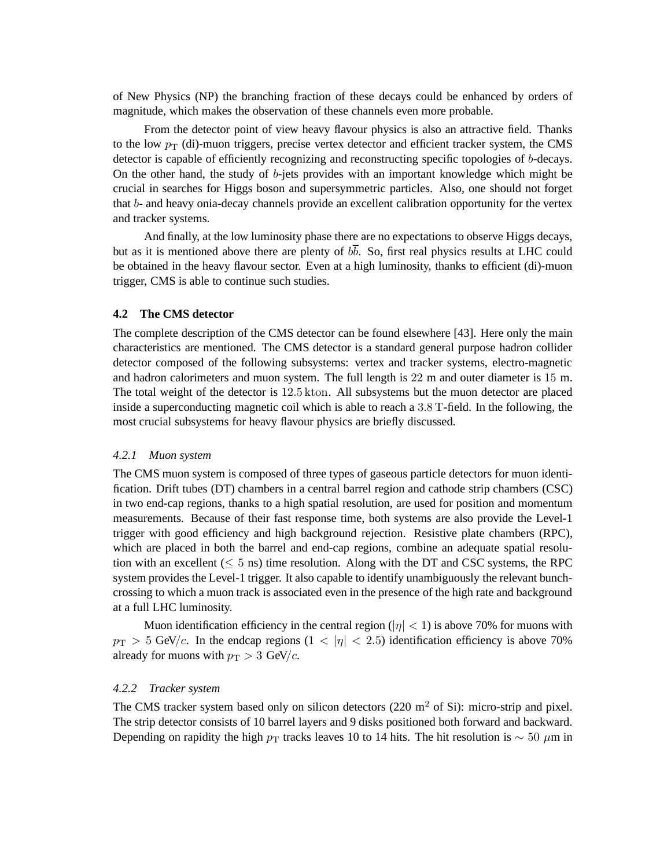of New Physics (NP) the branching fraction of these decays could be enhanced by orders of magnitude, which makes the observation of these channels even more probable.

From the detector point of view heavy flavour physics is also an attractive field. Thanks to the low  $p_T$  (di)-muon triggers, precise vertex detector and efficient tracker system, the CMS detector is capable of efficiently recognizing and reconstructing specific topologies of b-decays. On the other hand, the study of  $b$ -jets provides with an important knowledge which might be crucial in searches for Higgs boson and supersymmetric particles. Also, one should not forget that b- and heavy onia-decay channels provide an excellent calibration opportunity for the vertex and tracker systems.

And finally, at the low luminosity phase there are no expectations to observe Higgs decays, but as it is mentioned above there are plenty of  $b\overline{b}$ . So, first real physics results at LHC could be obtained in the heavy flavour sector. Even at a high luminosity, thanks to efficient (di)-muon trigger, CMS is able to continue such studies.

#### **4.2 The CMS detector**

The complete description of the CMS detector can be found elsewhere [43]. Here only the main characteristics are mentioned. The CMS detector is a standard general purpose hadron collider detector composed of the following subsystems: vertex and tracker systems, electro-magnetic and hadron calorimeters and muon system. The full length is 22 m and outer diameter is 15 m. The total weight of the detector is 12.5 kton. All subsystems but the muon detector are placed inside a superconducting magnetic coil which is able to reach a 3.8 T-field. In the following, the most crucial subsystems for heavy flavour physics are briefly discussed.

#### *4.2.1 Muon system*

The CMS muon system is composed of three types of gaseous particle detectors for muon identification. Drift tubes (DT) chambers in a central barrel region and cathode strip chambers (CSC) in two end-cap regions, thanks to a high spatial resolution, are used for position and momentum measurements. Because of their fast response time, both systems are also provide the Level-1 trigger with good efficiency and high background rejection. Resistive plate chambers (RPC), which are placed in both the barrel and end-cap regions, combine an adequate spatial resolution with an excellent  $(< 5 \text{ ns})$  time resolution. Along with the DT and CSC systems, the RPC system provides the Level-1 trigger. It also capable to identify unambiguously the relevant bunchcrossing to which a muon track is associated even in the presence of the high rate and background at a full LHC luminosity.

Muon identification efficiency in the central region ( $|\eta| < 1$ ) is above 70% for muons with  $p_{\rm T} > 5$  GeV/c. In the endcap regions  $(1 < |\eta| < 2.5)$  identification efficiency is above 70% already for muons with  $p_T > 3$  GeV/c.

#### *4.2.2 Tracker system*

The CMS tracker system based only on silicon detectors  $(220 \text{ m}^2 \text{ of Si})$ : micro-strip and pixel. The strip detector consists of 10 barrel layers and 9 disks positioned both forward and backward. Depending on rapidity the high  $p_T$  tracks leaves 10 to 14 hits. The hit resolution is  $\sim 50 \ \mu m$  in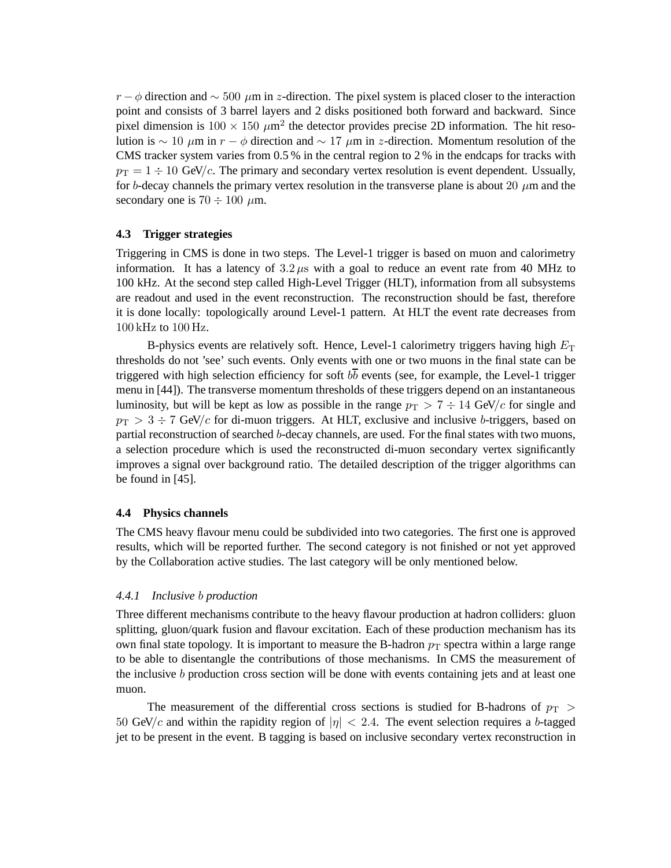$r - \phi$  direction and  $\sim 500 \mu m$  in z-direction. The pixel system is placed closer to the interaction point and consists of 3 barrel layers and 2 disks positioned both forward and backward. Since pixel dimension is  $100 \times 150 \ \mu m^2$  the detector provides precise 2D information. The hit resolution is ∼ 10  $\mu$ m in r –  $\phi$  direction and ~ 17  $\mu$ m in z-direction. Momentum resolution of the CMS tracker system varies from 0.5 % in the central region to 2 % in the endcaps for tracks with  $p_T = 1 \div 10$  GeV/c. The primary and secondary vertex resolution is event dependent. Ussually, for b-decay channels the primary vertex resolution in the transverse plane is about 20  $\mu$ m and the secondary one is  $70 \div 100 \mu$ m.

### **4.3 Trigger strategies**

Triggering in CMS is done in two steps. The Level-1 trigger is based on muon and calorimetry information. It has a latency of  $3.2 \mu s$  with a goal to reduce an event rate from 40 MHz to 100 kHz. At the second step called High-Level Trigger (HLT), information from all subsystems are readout and used in the event reconstruction. The reconstruction should be fast, therefore it is done locally: topologically around Level-1 pattern. At HLT the event rate decreases from 100 kHz to 100 Hz.

B-physics events are relatively soft. Hence, Level-1 calorimetry triggers having high  $E<sub>T</sub>$ thresholds do not 'see' such events. Only events with one or two muons in the final state can be triggered with high selection efficiency for soft  $b\bar{b}$  events (see, for example, the Level-1 trigger menu in [44]). The transverse momentum thresholds of these triggers depend on an instantaneous luminosity, but will be kept as low as possible in the range  $p_T > 7 \div 14$  GeV/c for single and  $p_{\rm T} > 3 \div 7$  GeV/c for di-muon triggers. At HLT, exclusive and inclusive b-triggers, based on partial reconstruction of searched b-decay channels, are used. For the final states with two muons, a selection procedure which is used the reconstructed di-muon secondary vertex significantly improves a signal over background ratio. The detailed description of the trigger algorithms can be found in [45].

## **4.4 Physics channels**

The CMS heavy flavour menu could be subdivided into two categories. The first one is approved results, which will be reported further. The second category is not finished or not yet approved by the Collaboration active studies. The last category will be only mentioned below.

## *4.4.1 Inclusive* b *production*

Three different mechanisms contribute to the heavy flavour production at hadron colliders: gluon splitting, gluon/quark fusion and flavour excitation. Each of these production mechanism has its own final state topology. It is important to measure the B-hadron  $p_T$  spectra within a large range to be able to disentangle the contributions of those mechanisms. In CMS the measurement of the inclusive b production cross section will be done with events containing jets and at least one muon.

The measurement of the differential cross sections is studied for B-hadrons of  $p_T >$ 50 GeV/c and within the rapidity region of  $|\eta| < 2.4$ . The event selection requires a b-tagged jet to be present in the event. B tagging is based on inclusive secondary vertex reconstruction in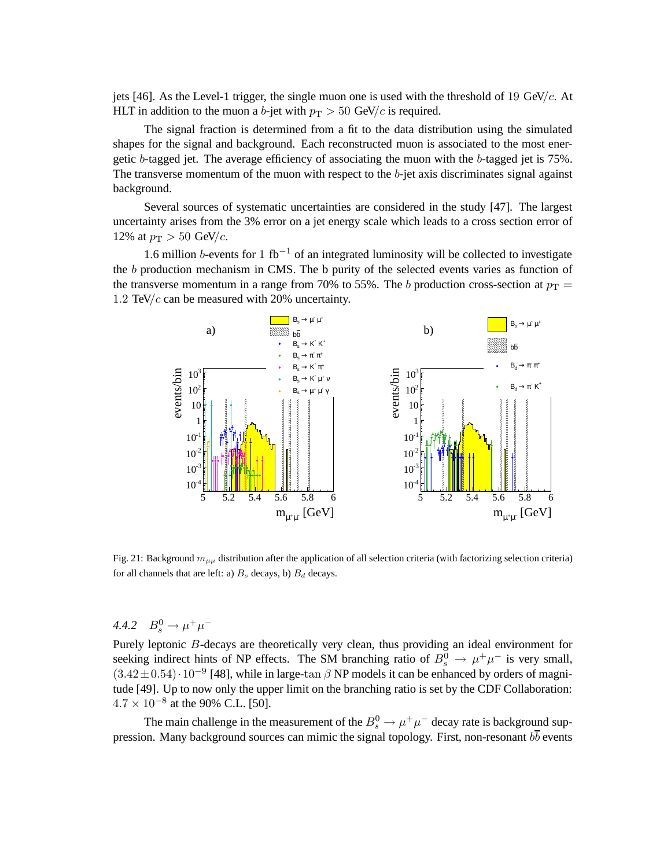jets [46]. As the Level-1 trigger, the single muon one is used with the threshold of 19 GeV/ $c$ . At HLT in addition to the muon a b-jet with  $p_T > 50$  GeV/c is required.

The signal fraction is determined from a fit to the data distribution using the simulated shapes for the signal and background. Each reconstructed muon is associated to the most energetic b-tagged jet. The average efficiency of associating the muon with the b-tagged jet is 75%. The transverse momentum of the muon with respect to the  $b$ -jet axis discriminates signal against background.

Several sources of systematic uncertainties are considered in the study [47]. The largest uncertainty arises from the 3% error on a jet energy scale which leads to a cross section error of 12% at  $p_T > 50$  GeV/c.

1.6 million b-events for 1 fb<sup>-1</sup> of an integrated luminosity will be collected to investigate the b production mechanism in CMS. The b purity of the selected events varies as function of the transverse momentum in a range from 70% to 55%. The b production cross-section at  $p_T =$ 1.2 TeV/ $c$  can be measured with 20% uncertainty.



Fig. 21: Background  $m_{\mu\mu}$  distribution after the application of all selection criteria (with factorizing selection criteria) for all channels that are left: a)  $B_s$  decays, b)  $B_d$  decays.

4.4.2  $B_s^0 \to \mu^+ \mu^-$ 

Purely leptonic B-decays are theoretically very clean, thus providing an ideal environment for seeking indirect hints of NP effects. The SM branching ratio of  $B_s^0 \to \mu^+\mu^-$  is very small,  $(3.42 \pm 0.54) \cdot 10^{-9}$  [48], while in large-tan  $\beta$  NP models it can be enhanced by orders of magnitude [49]. Up to now only the upper limit on the branching ratio is set by the CDF Collaboration:  $4.7 \times 10^{-8}$  at the 90% C.L. [50].

The main challenge in the measurement of the  $B_s^0 \to \mu^+ \mu^-$  decay rate is background suppression. Many background sources can mimic the signal topology. First, non-resonant  $b\bar{b}$  events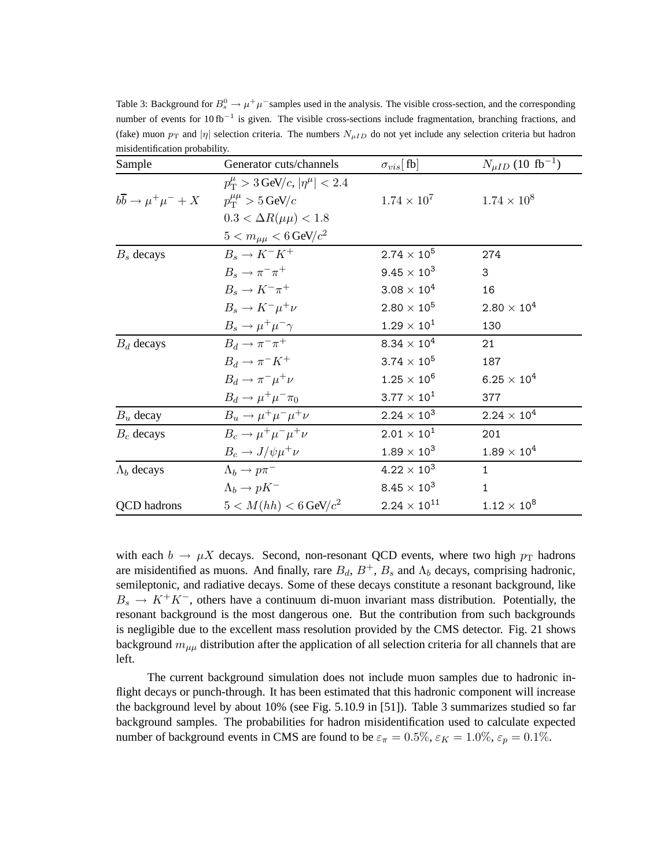| Table 3: Background for $B_s^0 \to \mu^+\mu^-$ samples used in the analysis. The visible cross-section, and the corresponding  |
|--------------------------------------------------------------------------------------------------------------------------------|
| number of events for $10 \text{ fb}^{-1}$ is given. The visible cross-sections include fragmentation, branching fractions, and |
| (fake) muon $p_T$ and  n  selection criteria. The numbers $N_{\mu I D}$ do not yet include any selection criteria but hadron   |
| misidentification probability.                                                                                                 |

| Sample                                                                       | Generator cuts/channels                           | $\sigma_{vis}[\text{fb}]$ | $N_{\mu ID}$ (10 fb <sup>-1</sup> ) |
|------------------------------------------------------------------------------|---------------------------------------------------|---------------------------|-------------------------------------|
|                                                                              | $p_{\rm T}^{\mu} > 3$ GeV/c, $ \eta^{\mu}  < 2.4$ |                           |                                     |
| $b\overline{b} \rightarrow \mu^+\mu^- + X$ $p_T^{\mu\mu} > 5 \,\text{GeV}/c$ |                                                   | $1.74 \times 10^{7}$      | $1.74 \times 10^{8}$                |
|                                                                              | $0.3 < \Delta R(\mu\mu) < 1.8$                    |                           |                                     |
|                                                                              | $5 < m_{\mu\mu} < 6$ GeV/ $c^2$                   |                           |                                     |
| $B_s$ decays                                                                 | $B_s \to K^-K^+$                                  | $2.74 \times 10^{5}$      | 274                                 |
|                                                                              | $B_s \rightarrow \pi^- \pi^+$                     | $9.45 \times 10^{3}$      | 3                                   |
|                                                                              | $B_s \to K^- \pi^+$                               | $3.08 \times 10^4$        | 16                                  |
|                                                                              | $B_s \to K^- \mu^+ \nu$                           | $2.80 \times 10^{5}$      | $2.80 \times 10^{4}$                |
|                                                                              | $B_s \to \mu^+ \mu^- \gamma$                      | $1.29 \times 10^{1}$      | 130                                 |
| $B_d$ decays                                                                 | $B_d \rightarrow \pi^- \pi^+$                     | $8.34\times10^4$          | 21                                  |
|                                                                              | $B_d \to \pi^- K^+$                               | $3.74 \times 10^{5}$      | 187                                 |
|                                                                              | $B_d \rightarrow \pi^- \mu^+ \nu$                 | $1.25 \times 10^{6}$      | $6.25\times10^4$                    |
|                                                                              | $B_d \rightarrow \mu^+ \mu^- \pi_0$               | $3.77 \times 10^{1}$      | 377                                 |
| $B_u$ decay                                                                  | $B_u \rightarrow \mu^+ \mu^- \mu^+ \nu$           | $2.24 \times 10^{3}$      | $2.24\times10^4$                    |
| $B_c$ decays                                                                 | $B_c \rightarrow \mu^+ \mu^- \mu^+ \nu$           | $2.01 \times 10^{1}$      | 201                                 |
|                                                                              | $B_c \rightarrow J/\psi \mu^+ \nu$                | $1.89 \times 10^{3}$      | $1.89\times10^4$                    |
| $\Lambda_b$ decays                                                           | $\Lambda_b \rightarrow p \pi^-$                   | $4.22 \times 10^{3}$      | $\mathbf{1}$                        |
|                                                                              | $\Lambda_b \to pK^-$                              | $8.45 \times 10^3$        | 1                                   |
| <b>QCD</b> hadrons                                                           | $5 < M(hh) < 6$ GeV/ $c^2$                        | $2.24 \times 10^{11}$     | $1.12\times10^8$                    |

with each  $b \to \mu X$  decays. Second, non-resonant QCD events, where two high  $p_T$  hadrons are misidentified as muons. And finally, rare  $B_d$ ,  $B^+$ ,  $B_s$  and  $\Lambda_b$  decays, comprising hadronic, semileptonic, and radiative decays. Some of these decays constitute a resonant background, like  $B_s \to K^+K^-$ , others have a continuum di-muon invariant mass distribution. Potentially, the resonant background is the most dangerous one. But the contribution from such backgrounds is negligible due to the excellent mass resolution provided by the CMS detector. Fig. 21 shows background  $m_{\mu\mu}$  distribution after the application of all selection criteria for all channels that are left.

The current background simulation does not include muon samples due to hadronic inflight decays or punch-through. It has been estimated that this hadronic component will increase the background level by about 10% (see Fig. 5.10.9 in [51]). Table 3 summarizes studied so far background samples. The probabilities for hadron misidentification used to calculate expected number of background events in CMS are found to be  $\varepsilon_{\pi} = 0.5\%$ ,  $\varepsilon_K = 1.0\%$ ,  $\varepsilon_p = 0.1\%$ .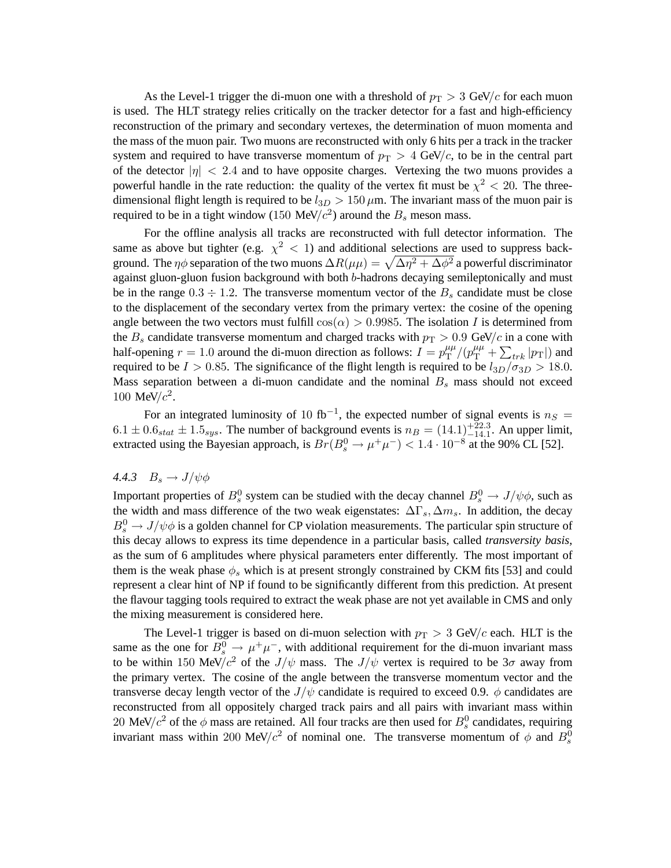As the Level-1 trigger the di-muon one with a threshold of  $p_T > 3$  GeV/c for each muon is used. The HLT strategy relies critically on the tracker detector for a fast and high-efficiency reconstruction of the primary and secondary vertexes, the determination of muon momenta and the mass of the muon pair. Two muons are reconstructed with only 6 hits per a track in the tracker system and required to have transverse momentum of  $p_T > 4$  GeV/c, to be in the central part of the detector  $|\eta| < 2.4$  and to have opposite charges. Vertexing the two muons provides a powerful handle in the rate reduction: the quality of the vertex fit must be  $\chi^2$  < 20. The threedimensional flight length is required to be  $l_{3D} > 150 \,\mu\text{m}$ . The invariant mass of the muon pair is required to be in a tight window (150 MeV/ $c<sup>2</sup>$ ) around the  $B<sub>s</sub>$  meson mass.

For the offline analysis all tracks are reconstructed with full detector information. The same as above but tighter (e.g.  $\chi^2$  < 1) and additional selections are used to suppress background. The  $\eta\phi$  separation of the two muons  $\Delta R(\mu\mu)=\sqrt{\Delta\eta^2+\Delta\phi^2}$  a powerful discriminator against gluon-gluon fusion background with both b-hadrons decaying semileptonically and must be in the range  $0.3 \div 1.2$ . The transverse momentum vector of the  $B_s$  candidate must be close to the displacement of the secondary vertex from the primary vertex: the cosine of the opening angle between the two vectors must fulfill  $cos(\alpha) > 0.9985$ . The isolation I is determined from the  $B_s$  candidate transverse momentum and charged tracks with  $p_T > 0.9$  GeV/c in a cone with half-opening  $r = 1.0$  around the di-muon direction as follows:  $I = p_T^{\mu\mu}$  $T_T^{\mu\mu}/(p_{\rm T}^{\mu\mu} + \sum_{trk} |p_{\rm T}|)$  and required to be  $I > 0.85$ . The significance of the flight length is required to be  $l_{3D}/\sigma_{3D} > 18.0$ . Mass separation between a di-muon candidate and the nominal  $B_s$  mass should not exceed 100 MeV/ $c^2$ .

For an integrated luminosity of 10 fb<sup>-1</sup>, the expected number of signal events is  $n_S =$  $6.1 \pm 0.6$ <sub>stat</sub>  $\pm 1.5$ <sub>sys</sub>. The number of background events is  $n_B = (14.1)^{+22.3}_{-14.1}$ . An upper limit, extracted using the Bayesian approach, is  $Br(B_s^0 \to \mu^+ \mu^-) < 1.4 \cdot 10^{-8}$  at the 90% CL [52].

#### 4.4.3  $B_s \rightarrow J/\psi \phi$

Important properties of  $B_s^0$  system can be studied with the decay channel  $B_s^0 \to J/\psi \phi$ , such as the width and mass difference of the two weak eigenstates:  $\Delta\Gamma_s$ ,  $\Delta m_s$ . In addition, the decay  $B_s^0 \rightarrow J/\psi \phi$  is a golden channel for CP violation measurements. The particular spin structure of this decay allows to express its time dependence in a particular basis, called *transversity basis*, as the sum of 6 amplitudes where physical parameters enter differently. The most important of them is the weak phase  $\phi_s$  which is at present strongly constrained by CKM fits [53] and could represent a clear hint of NP if found to be significantly different from this prediction. At present the flavour tagging tools required to extract the weak phase are not yet available in CMS and only the mixing measurement is considered here.

The Level-1 trigger is based on di-muon selection with  $p_T > 3$  GeV/c each. HLT is the same as the one for  $\overline{B^0_s} \rightarrow \mu^+\mu^-$ , with additional requirement for the di-muon invariant mass to be within 150 MeV/ $c^2$  of the  $J/\psi$  mass. The  $J/\psi$  vertex is required to be  $3\sigma$  away from the primary vertex. The cosine of the angle between the transverse momentum vector and the transverse decay length vector of the  $J/\psi$  candidate is required to exceed 0.9.  $\phi$  candidates are reconstructed from all oppositely charged track pairs and all pairs with invariant mass within 20 MeV/ $c^2$  of the  $\phi$  mass are retained. All four tracks are then used for  $B_s^0$  candidates, requiring invariant mass within 200 MeV/ $c^2$  of nominal one. The transverse momentum of  $\phi$  and  $B_s^0$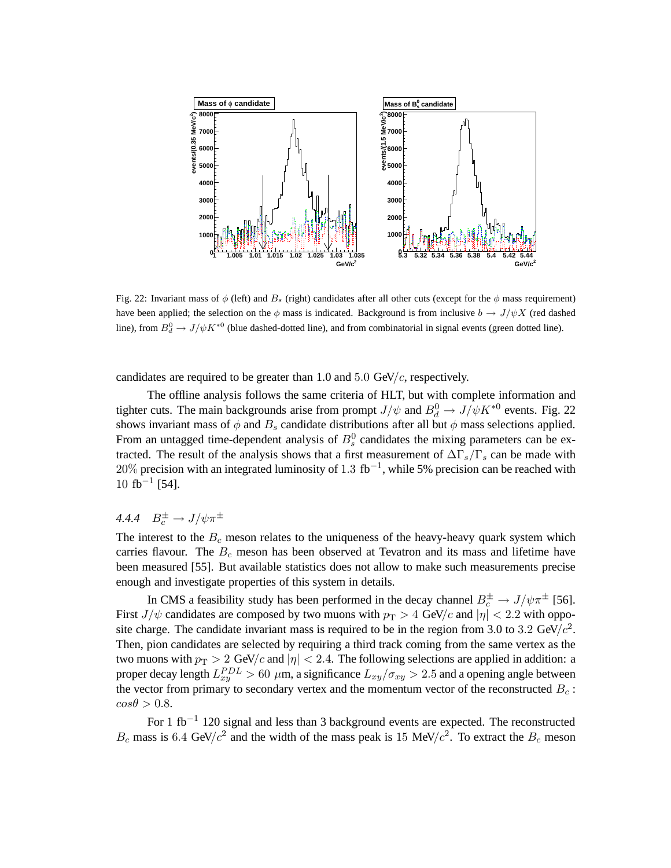

Fig. 22: Invariant mass of  $\phi$  (left) and  $B_s$  (right) candidates after all other cuts (except for the  $\phi$  mass requirement) have been applied; the selection on the  $\phi$  mass is indicated. Background is from inclusive  $b \to J/\psi X$  (red dashed line), from  $B_d^0 \to J/\psi K^{*0}$  (blue dashed-dotted line), and from combinatorial in signal events (green dotted line).

candidates are required to be greater than 1.0 and 5.0 GeV/ $c$ , respectively.

The offline analysis follows the same criteria of HLT, but with complete information and tighter cuts. The main backgrounds arise from prompt  $J/\psi$  and  $B_d^0 \to J/\psi K^{*0}$  events. Fig. 22 shows invariant mass of  $\phi$  and  $B_s$  candidate distributions after all but  $\phi$  mass selections applied. From an untagged time-dependent analysis of  $B_s^0$  candidates the mixing parameters can be extracted. The result of the analysis shows that a first measurement of  $\Delta\Gamma_s/\Gamma_s$  can be made with  $20\%$  precision with an integrated luminosity of 1.3 fb<sup>-1</sup>, while 5% precision can be reached with  $10 \text{ fb}^{-1}$  [54].

# 4.4.4  $B_c^{\pm} \rightarrow J/\psi \pi^{\pm}$

The interest to the  $B<sub>c</sub>$  meson relates to the uniqueness of the heavy-heavy quark system which carries flavour. The  $B<sub>c</sub>$  meson has been observed at Tevatron and its mass and lifetime have been measured [55]. But available statistics does not allow to make such measurements precise enough and investigate properties of this system in details.

In CMS a feasibility study has been performed in the decay channel  $B_c^{\pm} \to J/\psi \pi^{\pm}$  [56]. First  $J/\psi$  candidates are composed by two muons with  $p_T > 4$  GeV/c and  $|\eta| < 2.2$  with opposite charge. The candidate invariant mass is required to be in the region from 3.0 to 3.2 GeV/ $c^2$ . Then, pion candidates are selected by requiring a third track coming from the same vertex as the two muons with  $p_T > 2$  GeV/c and  $|\eta| < 2.4$ . The following selections are applied in addition: a proper decay length  $L_{xy}^{PDL} > 60 \mu$ m, a significance  $L_{xy}/\sigma_{xy} > 2.5$  and a opening angle between the vector from primary to secondary vertex and the momentum vector of the reconstructed  $B_c$ :  $cos\theta > 0.8$ .

For 1 fb<sup>-1</sup> 120 signal and less than 3 background events are expected. The reconstructed  $B_c$  mass is 6.4 GeV/ $c^2$  and the width of the mass peak is 15 MeV/ $c^2$ . To extract the  $B_c$  meson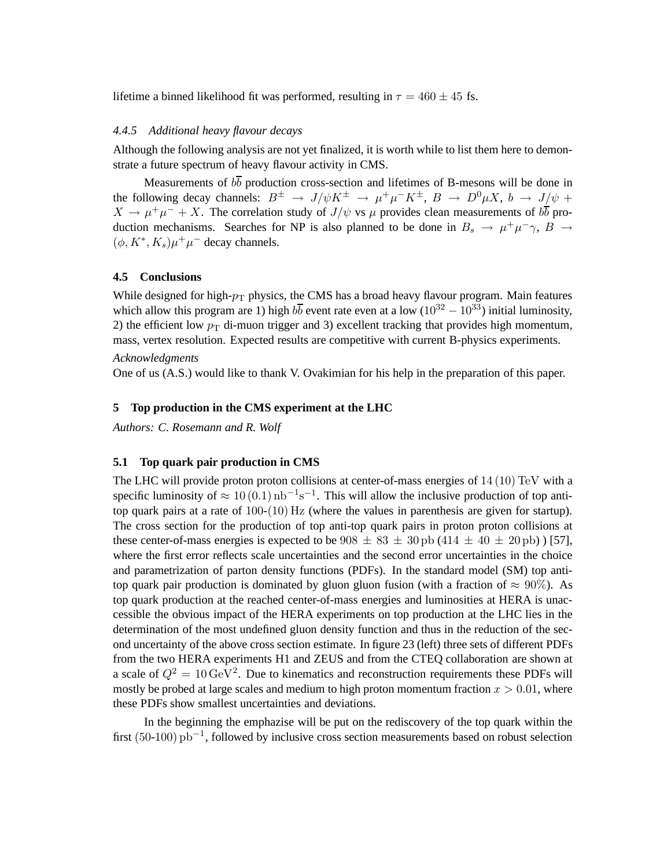lifetime a binned likelihood fit was performed, resulting in  $\tau = 460 \pm 45$  fs.

#### *4.4.5 Additional heavy flavour decays*

Although the following analysis are not yet finalized, it is worth while to list them here to demonstrate a future spectrum of heavy flavour activity in CMS.

Measurements of  $b\overline{b}$  production cross-section and lifetimes of B-mesons will be done in the following decay channels:  $B^{\pm} \rightarrow J/\psi K^{\pm} \rightarrow \mu^{+}\mu^{-}K^{\pm}$ ,  $B \rightarrow D^{0}\mu X$ ,  $b \rightarrow J/\psi +$  $X \to \mu^+ \mu^- + X$ . The correlation study of  $J/\psi$  vs  $\mu$  provides clean measurements of  $b\overline{b}$  production mechanisms. Searches for NP is also planned to be done in  $B_s \to \mu^+ \mu^- \gamma$ ,  $\overline{B} \to \mu^- \gamma$  $(\phi, K^*, K_s)\mu^+\mu^-$  decay channels.

#### **4.5 Conclusions**

While designed for high- $p_T$  physics, the CMS has a broad heavy flavour program. Main features which allow this program are 1) high  $b\overline{b}$  event rate even at a low (10<sup>32</sup> − 10<sup>33</sup>) initial luminosity, 2) the efficient low  $p_T$  di-muon trigger and 3) excellent tracking that provides high momentum, mass, vertex resolution. Expected results are competitive with current B-physics experiments.

#### *Acknowledgments*

One of us (A.S.) would like to thank V. Ovakimian for his help in the preparation of this paper.

#### **5 Top production in the CMS experiment at the LHC**

*Authors: C. Rosemann and R. Wolf*

#### **5.1 Top quark pair production in CMS**

The LHC will provide proton proton collisions at center-of-mass energies of 14 (10) TeV with a specific luminosity of  $\approx 10(0.1)$  nb<sup>-1</sup>s<sup>-1</sup>. This will allow the inclusive production of top antitop quark pairs at a rate of  $100-(10)$  Hz (where the values in parenthesis are given for startup). The cross section for the production of top anti-top quark pairs in proton proton collisions at these center-of-mass energies is expected to be  $908 \pm 83 \pm 30$  pb  $(414 \pm 40 \pm 20$  pb)  $)[57]$ , where the first error reflects scale uncertainties and the second error uncertainties in the choice and parametrization of parton density functions (PDFs). In the standard model (SM) top antitop quark pair production is dominated by gluon gluon fusion (with a fraction of  $\approx 90\%$ ). As top quark production at the reached center-of-mass energies and luminosities at HERA is unaccessible the obvious impact of the HERA experiments on top production at the LHC lies in the determination of the most undefined gluon density function and thus in the reduction of the second uncertainty of the above cross section estimate. In figure 23 (left) three sets of different PDFs from the two HERA experiments H1 and ZEUS and from the CTEQ collaboration are shown at a scale of  $Q^2 = 10 \,\text{GeV}^2$ . Due to kinematics and reconstruction requirements these PDFs will mostly be probed at large scales and medium to high proton momentum fraction  $x > 0.01$ , where these PDFs show smallest uncertainties and deviations.

In the beginning the emphazise will be put on the rediscovery of the top quark within the first (50-100) pb−<sup>1</sup> , followed by inclusive cross section measurements based on robust selection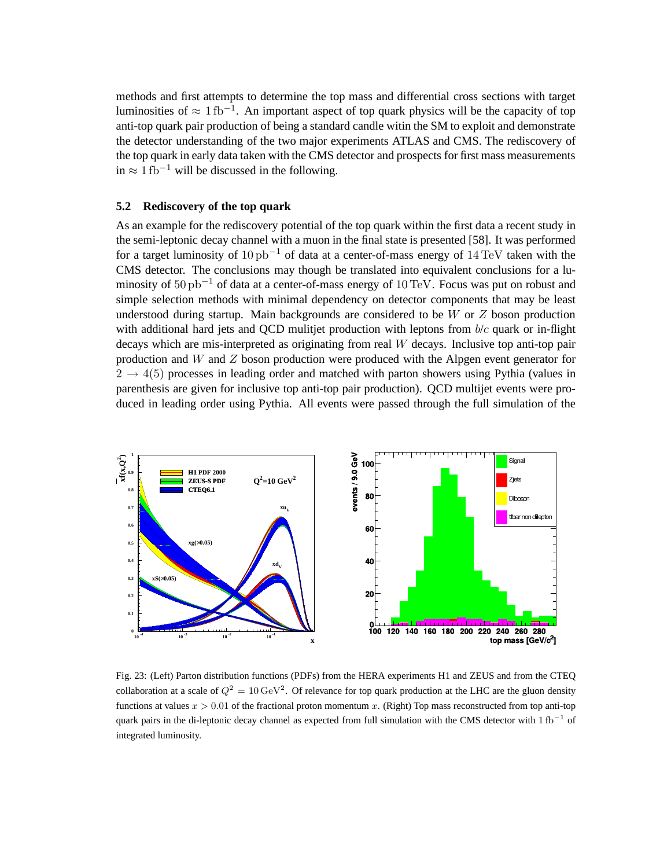methods and first attempts to determine the top mass and differential cross sections with target luminosities of  $\approx 1 \text{ fb}^{-1}$ . An important aspect of top quark physics will be the capacity of top anti-top quark pair production of being a standard candle witin the SM to exploit and demonstrate the detector understanding of the two major experiments ATLAS and CMS. The rediscovery of the top quark in early data taken with the CMS detector and prospects for first mass measurements in ≈ 1 fb<sup>-1</sup> will be discussed in the following.

#### **5.2 Rediscovery of the top quark**

As an example for the rediscovery potential of the top quark within the first data a recent study in the semi-leptonic decay channel with a muon in the final state is presented [58]. It was performed for a target luminosity of 10 pb−<sup>1</sup> of data at a center-of-mass energy of 14 TeV taken with the CMS detector. The conclusions may though be translated into equivalent conclusions for a luminosity of 50 pb<sup>-1</sup> of data at a center-of-mass energy of 10 TeV. Focus was put on robust and simple selection methods with minimal dependency on detector components that may be least understood during startup. Main backgrounds are considered to be  $W$  or  $Z$  boson production with additional hard jets and OCD mulitjet production with leptons from  $b/c$  quark or in-flight decays which are mis-interpreted as originating from real  $W$  decays. Inclusive top anti-top pair production and W and  $Z$  boson production were produced with the Alpgen event generator for  $2 \rightarrow 4(5)$  processes in leading order and matched with parton showers using Pythia (values in parenthesis are given for inclusive top anti-top pair production). QCD multijet events were produced in leading order using Pythia. All events were passed through the full simulation of the



Fig. 23: (Left) Parton distribution functions (PDFs) from the HERA experiments H1 and ZEUS and from the CTEQ collaboration at a scale of  $Q^2 = 10 \,\text{GeV}^2$ . Of relevance for top quark production at the LHC are the gluon density functions at values  $x > 0.01$  of the fractional proton momentum x. (Right) Top mass reconstructed from top anti-top quark pairs in the di-leptonic decay channel as expected from full simulation with the CMS detector with  $1 \text{ fb}^{-1}$  of integrated luminosity.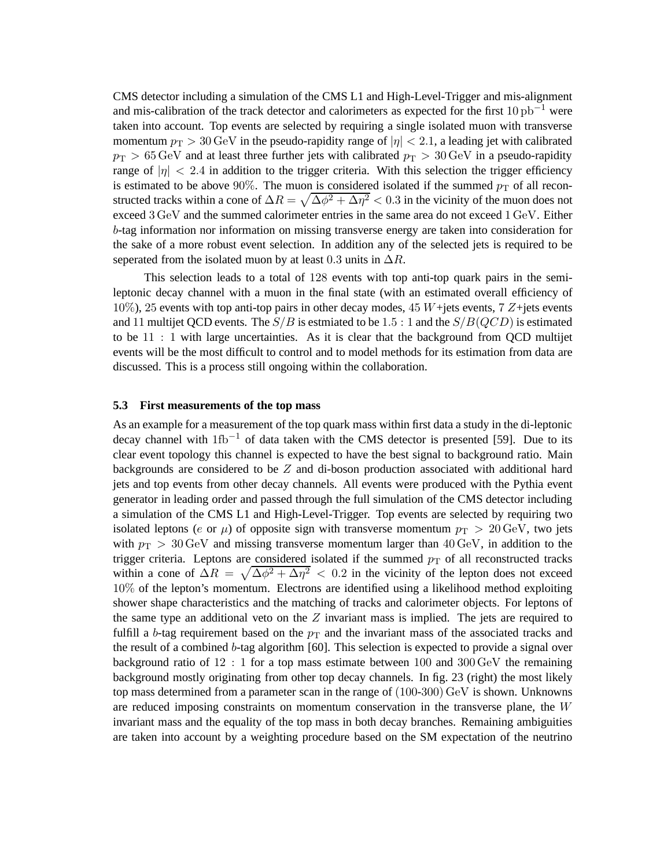CMS detector including a simulation of the CMS L1 and High-Level-Trigger and mis-alignment and mis-calibration of the track detector and calorimeters as expected for the first  $10 \text{ pb}^{-1}$  were taken into account. Top events are selected by requiring a single isolated muon with transverse momentum  $p_T > 30 \,\text{GeV}$  in the pseudo-rapidity range of  $|\eta| < 2.1$ , a leading jet with calibrated  $p_T > 65 \,\text{GeV}$  and at least three further jets with calibrated  $p_T > 30 \,\text{GeV}$  in a pseudo-rapidity range of  $|\eta|$  < 2.4 in addition to the trigger criteria. With this selection the trigger efficiency is estimated to be above 90%. The muon is considered isolated if the summed  $p<sub>T</sub>$  of all reconstructed tracks within a cone of  $\Delta R = \sqrt{\Delta \phi^2 + \Delta \eta^2} < 0.3$  in the vicinity of the muon does not exceed 3 GeV and the summed calorimeter entries in the same area do not exceed 1 GeV. Either b-tag information nor information on missing transverse energy are taken into consideration for the sake of a more robust event selection. In addition any of the selected jets is required to be seperated from the isolated muon by at least 0.3 units in  $\Delta R$ .

This selection leads to a total of 128 events with top anti-top quark pairs in the semileptonic decay channel with a muon in the final state (with an estimated overall efficiency of 10%), 25 events with top anti-top pairs in other decay modes, 45 W+jets events, 7 Z+jets events and 11 multijet QCD events. The  $S/B$  is estmiated to be 1.5 : 1 and the  $S/B(QCD)$  is estimated to be 11 : 1 with large uncertainties. As it is clear that the background from QCD multijet events will be the most difficult to control and to model methods for its estimation from data are discussed. This is a process still ongoing within the collaboration.

#### **5.3 First measurements of the top mass**

As an example for a measurement of the top quark mass within first data a study in the di-leptonic decay channel with 1fb−<sup>1</sup> of data taken with the CMS detector is presented [59]. Due to its clear event topology this channel is expected to have the best signal to background ratio. Main backgrounds are considered to be  $Z$  and di-boson production associated with additional hard jets and top events from other decay channels. All events were produced with the Pythia event generator in leading order and passed through the full simulation of the CMS detector including a simulation of the CMS L1 and High-Level-Trigger. Top events are selected by requiring two isolated leptons (e or  $\mu$ ) of opposite sign with transverse momentum  $p_T > 20 \,\text{GeV}$ , two jets with  $p_T > 30 \,\text{GeV}$  and missing transverse momentum larger than 40 GeV, in addition to the trigger criteria. Leptons are considered isolated if the summed  $p_T$  of all reconstructed tracks within a cone of  $\Delta R = \sqrt{\Delta \phi^2 + \Delta \eta^2} < 0.2$  in the vicinity of the lepton does not exceed 10% of the lepton's momentum. Electrons are identified using a likelihood method exploiting shower shape characteristics and the matching of tracks and calorimeter objects. For leptons of the same type an additional veto on the  $Z$  invariant mass is implied. The jets are required to fulfill a b-tag requirement based on the  $p_T$  and the invariant mass of the associated tracks and the result of a combined b-tag algorithm [60]. This selection is expected to provide a signal over background ratio of  $12 : 1$  for a top mass estimate between 100 and 300 GeV the remaining background mostly originating from other top decay channels. In fig. 23 (right) the most likely top mass determined from a parameter scan in the range of (100-300) GeV is shown. Unknowns are reduced imposing constraints on momentum conservation in the transverse plane, the W invariant mass and the equality of the top mass in both decay branches. Remaining ambiguities are taken into account by a weighting procedure based on the SM expectation of the neutrino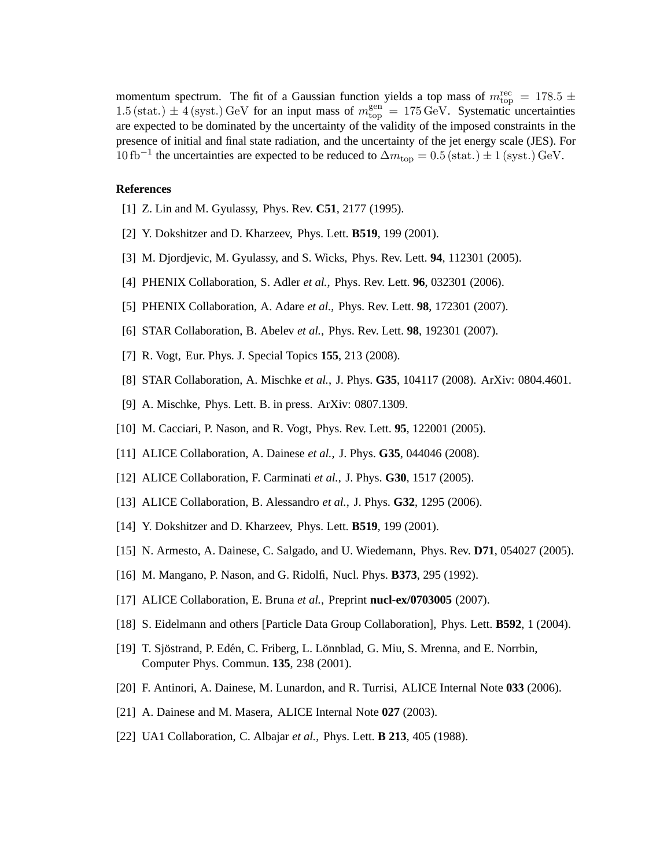momentum spectrum. The fit of a Gaussian function yields a top mass of  $m_{\text{top}}^{\text{rec}} = 178.5 \pm 10^{-10}$ 1.5 (stat.)  $\pm$  4 (syst.) GeV for an input mass of  $m_{\text{top}}^{\text{gen}} = 175 \text{ GeV}$ . Systematic uncertainties are expected to be dominated by the uncertainty of the validity of the imposed constraints in the presence of initial and final state radiation, and the uncertainty of the jet energy scale (JES). For 10 fb<sup>-1</sup> the uncertainties are expected to be reduced to  $\Delta m_{\text{top}} = 0.5 \text{(stat.)} \pm 1 \text{(syst.)} \text{GeV}.$ 

#### **References**

- [1] Z. Lin and M. Gyulassy, Phys. Rev. **C51**, 2177 (1995).
- [2] Y. Dokshitzer and D. Kharzeev, Phys. Lett. **B519**, 199 (2001).
- [3] M. Djordjevic, M. Gyulassy, and S. Wicks, Phys. Rev. Lett. **94**, 112301 (2005).
- [4] PHENIX Collaboration, S. Adler *et al.*, Phys. Rev. Lett. **96**, 032301 (2006).
- [5] PHENIX Collaboration, A. Adare *et al.*, Phys. Rev. Lett. **98**, 172301 (2007).
- [6] STAR Collaboration, B. Abelev *et al.*, Phys. Rev. Lett. **98**, 192301 (2007).
- [7] R. Vogt, Eur. Phys. J. Special Topics **155**, 213 (2008).
- [8] STAR Collaboration, A. Mischke *et al.*, J. Phys. **G35**, 104117 (2008). ArXiv: 0804.4601.
- [9] A. Mischke, Phys. Lett. B. in press. ArXiv: 0807.1309.
- [10] M. Cacciari, P. Nason, and R. Vogt, Phys. Rev. Lett. **95**, 122001 (2005).
- [11] ALICE Collaboration, A. Dainese *et al.*, J. Phys. **G35**, 044046 (2008).
- [12] ALICE Collaboration, F. Carminati *et al.*, J. Phys. **G30**, 1517 (2005).
- [13] ALICE Collaboration, B. Alessandro *et al.*, J. Phys. **G32**, 1295 (2006).
- [14] Y. Dokshitzer and D. Kharzeev, Phys. Lett. **B519**, 199 (2001).
- [15] N. Armesto, A. Dainese, C. Salgado, and U. Wiedemann, Phys. Rev. **D71**, 054027 (2005).
- [16] M. Mangano, P. Nason, and G. Ridolfi, Nucl. Phys. **B373**, 295 (1992).
- [17] ALICE Collaboration, E. Bruna *et al.*, Preprint **nucl-ex/0703005** (2007).
- [18] S. Eidelmann and others [Particle Data Group Collaboration], Phys. Lett. **B592**, 1 (2004).
- [19] T. Sjöstrand, P. Edén, C. Friberg, L. Lönnblad, G. Miu, S. Mrenna, and E. Norrbin, Computer Phys. Commun. **135**, 238 (2001).
- [20] F. Antinori, A. Dainese, M. Lunardon, and R. Turrisi, ALICE Internal Note **033** (2006).
- [21] A. Dainese and M. Masera, ALICE Internal Note **027** (2003).
- [22] UA1 Collaboration, C. Albajar *et al.*, Phys. Lett. **B 213**, 405 (1988).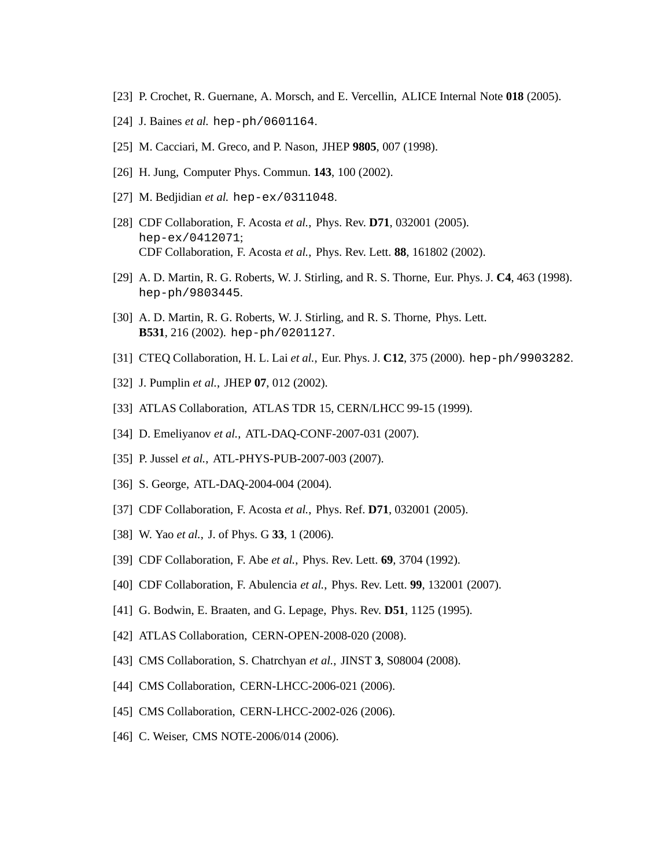- [23] P. Crochet, R. Guernane, A. Morsch, and E. Vercellin, ALICE Internal Note **018** (2005).
- [24] J. Baines *et al.* hep-ph/0601164.
- [25] M. Cacciari, M. Greco, and P. Nason, JHEP **9805**, 007 (1998).
- [26] H. Jung, Computer Phys. Commun. **143**, 100 (2002).
- [27] M. Bedjidian *et al.* hep-ex/0311048.
- [28] CDF Collaboration, F. Acosta *et al.*, Phys. Rev. **D71**, 032001 (2005). hep-ex/0412071; CDF Collaboration, F. Acosta *et al.*, Phys. Rev. Lett. **88**, 161802 (2002).
- [29] A. D. Martin, R. G. Roberts, W. J. Stirling, and R. S. Thorne, Eur. Phys. J. **C4**, 463 (1998). hep-ph/9803445.
- [30] A. D. Martin, R. G. Roberts, W. J. Stirling, and R. S. Thorne, Phys. Lett. **B531**, 216 (2002). hep-ph/0201127.
- [31] CTEQ Collaboration, H. L. Lai *et al.*, Eur. Phys. J. **C12**, 375 (2000). hep-ph/9903282.
- [32] J. Pumplin *et al.*, JHEP **07**, 012 (2002).
- [33] ATLAS Collaboration, ATLAS TDR 15, CERN/LHCC 99-15 (1999).
- [34] D. Emeliyanov *et al.*, ATL-DAQ-CONF-2007-031 (2007).
- [35] P. Jussel *et al.*, ATL-PHYS-PUB-2007-003 (2007).
- [36] S. George, ATL-DAQ-2004-004 (2004).
- [37] CDF Collaboration, F. Acosta *et al.*, Phys. Ref. **D71**, 032001 (2005).
- [38] W. Yao *et al.*, J. of Phys. G **33**, 1 (2006).
- [39] CDF Collaboration, F. Abe *et al.*, Phys. Rev. Lett. **69**, 3704 (1992).
- [40] CDF Collaboration, F. Abulencia *et al.*, Phys. Rev. Lett. **99**, 132001 (2007).
- [41] G. Bodwin, E. Braaten, and G. Lepage, Phys. Rev. **D51**, 1125 (1995).
- [42] ATLAS Collaboration, CERN-OPEN-2008-020 (2008).
- [43] CMS Collaboration, S. Chatrchyan *et al.*, JINST **3**, S08004 (2008).
- [44] CMS Collaboration, CERN-LHCC-2006-021 (2006).
- [45] CMS Collaboration, CERN-LHCC-2002-026 (2006).
- [46] C. Weiser, CMS NOTE-2006/014 (2006).